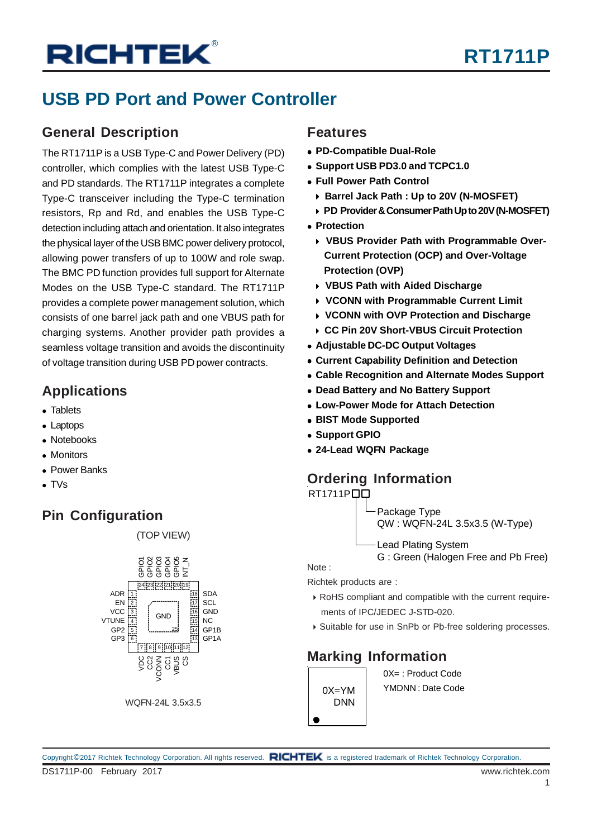#### **USB PD Port and Power Controller**

#### **General Description**

The RT1711P is a USB Type-C and Power Delivery (PD) controller, which complies with the latest USB Type-C and PD standards. The RT1711P integrates a complete Type-C transceiver including the Type-C termination resistors, Rp and Rd, and enables the USB Type-C detection including attach and orientation. It also integrates the physical layer of the USB BMC power delivery protocol, allowing power transfers of up to 100W and role swap. The BMC PD function provides full support for Alternate Modes on the USB Type-C standard. The RT1711P provides a complete power management solution, which consists of one barrel jack path and one VBUS path for charging systems. Another provider path provides a seamless voltage transition and avoids the discontinuity of voltage transition during USB PD power contracts.

#### **Applications**

- Tablets
- Laptops
- Notebooks
- **Monitors**
- Power Banks
- $\bullet$  TVs

#### **Pin Configuration**



(TOP VIEW)

WQFN-24L 3.5x3.5

#### **Features**

- **PD-Compatible Dual-Role**
- **Support USB PD3.0 and TCPC1.0**
- **Full Power Path Control**
	- **Barrel Jack Path : Up to 20V (N-MOSFET)**
	- **PD Provider & Consumer Path Up to 20V (N-MOSFET)**
- **Protection**
	- **VBUS Provider Path with Programmable Over-Current Protection (OCP) and Over-Voltage Protection (OVP)**
	- **VBUS Path with Aided Discharge**
	- **VCONN with Programmable Current Limit**
	- **VCONN with OVP Protection and Discharge**
	- **CC Pin 20V Short-VBUS Circuit Protection**
- **Adjustable DC-DC Output Voltages**
- **Current Capability Definition and Detection**
- **Cable Recognition and Alternate Modes Support**
- **Dead Battery and No Battery Support**
- **Low-Power Mode for Attach Detection**
- **BIST Mode Supported**
- **Support GPIO**
- **24-Lead WQFN Package**

#### **Ordering Information**

**RT1711PQQ** 

Package Type QW : WQFN-24L 3.5x3.5 (W-Type)

Lead Plating System

G : Green (Halogen Free and Pb Free)

Note :

Richtek products are :

- RoHS compliant and compatible with the current require ments of IPC/JEDEC J-STD-020.
- ▶ Suitable for use in SnPb or Pb-free soldering processes.

#### **Marking Information**

0X=YM DNN 0X= : Product Code

YMDNN : Date Code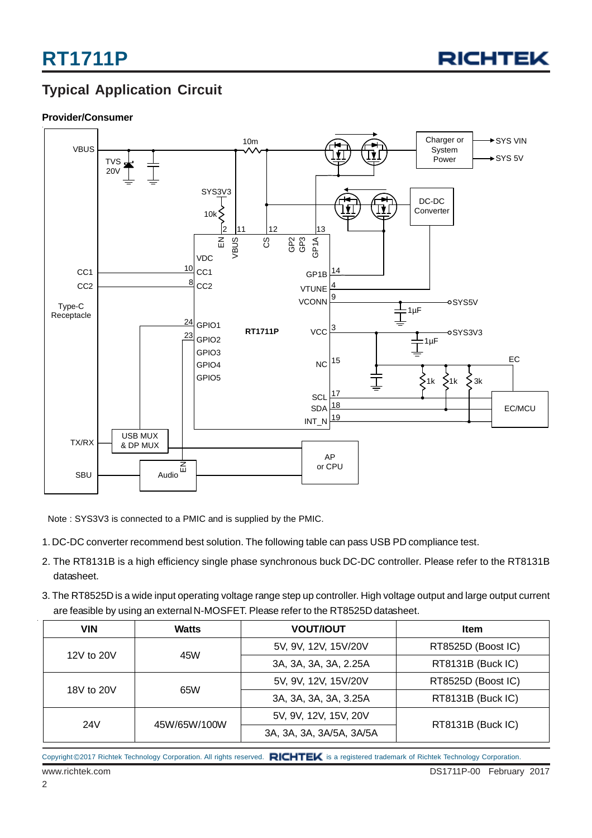

#### **Typical Application Circuit**

#### **Provider/Consumer**



Note : SYS3V3 is connected to a PMIC and is supplied by the PMIC.

- 1. DC-DC converter recommend best solution. The following table can pass USB PD compliance test.
- 2. The RT8131B is a high efficiency single phase synchronous buck DC-DC controller. Please refer to the RT8131B datasheet.
- 3. The RT8525D is a wide input operating voltage range step up controller. High voltage output and large output current are feasible by using an external N-MOSFET. Please refer to the RT8525D datasheet.

| <b>VIN</b> | <b>Watts</b> | <b>VOUT/IOUT</b>         | <b>Item</b>        |
|------------|--------------|--------------------------|--------------------|
|            | 45W          | 5V, 9V, 12V, 15V/20V     | RT8525D (Boost IC) |
| 12V to 20V |              | 3A, 3A, 3A, 3A, 2.25A    | RT8131B (Buck IC)  |
| 18V to 20V |              | 5V, 9V, 12V, 15V/20V     | RT8525D (Boost IC) |
|            | 65W          | 3A, 3A, 3A, 3A, 3.25A    | RT8131B (Buck IC)  |
|            |              | 5V, 9V, 12V, 15V, 20V    |                    |
| 24V        | 45W/65W/100W | 3A, 3A, 3A, 3A/5A, 3A/5A | RT8131B (Buck IC)  |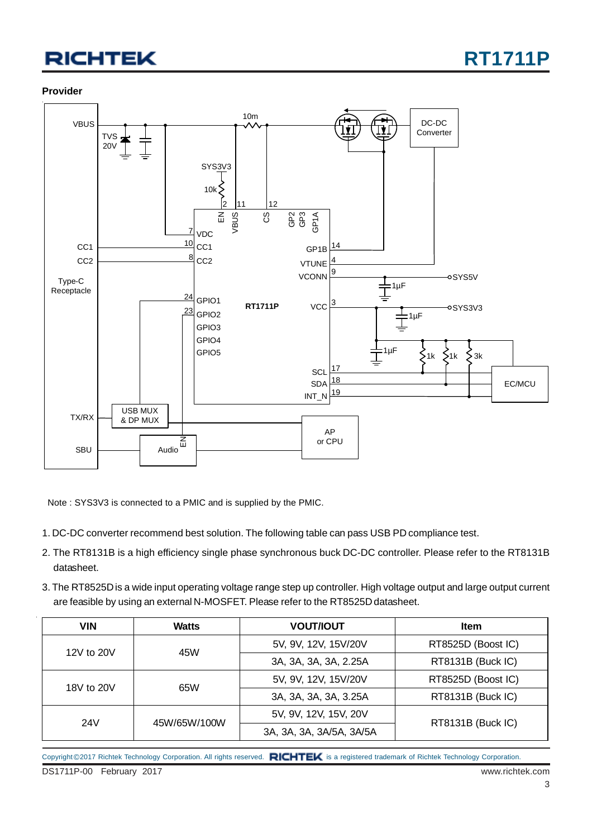#### **Provider**



Note : SYS3V3 is connected to a PMIC and is supplied by the PMIC.

- 1. DC-DC converter recommend best solution. The following table can pass USB PD compliance test.
- 2. The RT8131B is a high efficiency single phase synchronous buck DC-DC controller. Please refer to the RT8131B datasheet.
- 3. The RT8525D is a wide input operating voltage range step up controller. High voltage output and large output current are feasible by using an external N-MOSFET. Please refer to the RT8525D datasheet.

| <b>VIN</b> | <b>Watts</b> | <b>VOUT/IOUT</b>         | <b>Item</b>        |
|------------|--------------|--------------------------|--------------------|
|            | 45W          | 5V, 9V, 12V, 15V/20V     | RT8525D (Boost IC) |
| 12V to 20V |              | 3A, 3A, 3A, 3A, 2.25A    | RT8131B (Buck IC)  |
| 18V to 20V | 65W          | 5V, 9V, 12V, 15V/20V     | RT8525D (Boost IC) |
|            |              | 3A, 3A, 3A, 3A, 3.25A    | RT8131B (Buck IC)  |
|            |              | 5V, 9V, 12V, 15V, 20V    |                    |
| 24V        | 45W/65W/100W | 3A, 3A, 3A, 3A/5A, 3A/5A | RT8131B (Buck IC)  |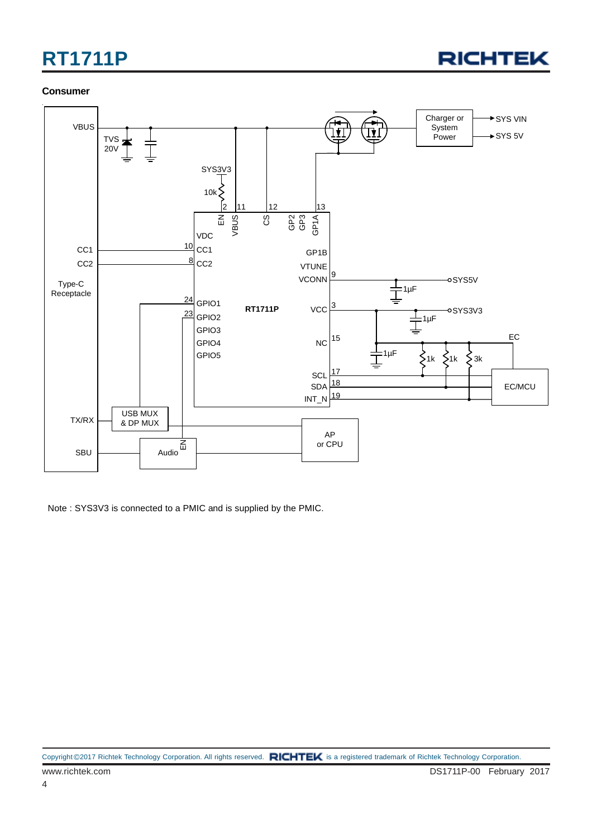

#### **Consumer**



Note : SYS3V3 is connected to a PMIC and is supplied by the PMIC.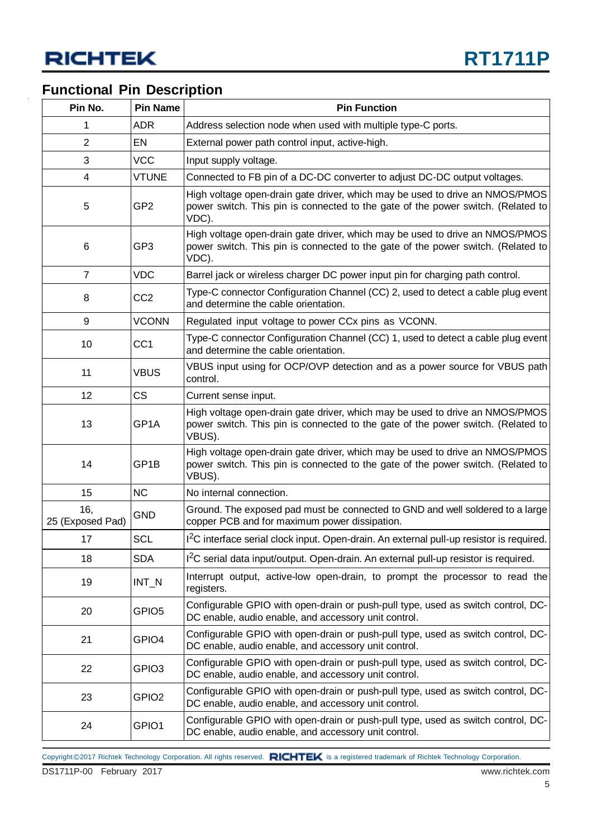#### **Functional Pin Description**

| Pin No.                 | <b>Pin Name</b>   | <b>Pin Function</b>                                                                                                                                                        |
|-------------------------|-------------------|----------------------------------------------------------------------------------------------------------------------------------------------------------------------------|
| 1                       | <b>ADR</b>        | Address selection node when used with multiple type-C ports.                                                                                                               |
| 2                       | EN                | External power path control input, active-high.                                                                                                                            |
| 3                       | <b>VCC</b>        | Input supply voltage.                                                                                                                                                      |
| 4                       | <b>VTUNE</b>      | Connected to FB pin of a DC-DC converter to adjust DC-DC output voltages.                                                                                                  |
| 5                       | GP <sub>2</sub>   | High voltage open-drain gate driver, which may be used to drive an NMOS/PMOS<br>power switch. This pin is connected to the gate of the power switch. (Related to<br>VDC).  |
| 6                       | GP3               | High voltage open-drain gate driver, which may be used to drive an NMOS/PMOS<br>power switch. This pin is connected to the gate of the power switch. (Related to<br>VDC).  |
| $\overline{7}$          | <b>VDC</b>        | Barrel jack or wireless charger DC power input pin for charging path control.                                                                                              |
| 8                       | CC <sub>2</sub>   | Type-C connector Configuration Channel (CC) 2, used to detect a cable plug event<br>and determine the cable orientation.                                                   |
| 9                       | <b>VCONN</b>      | Regulated input voltage to power CCx pins as VCONN.                                                                                                                        |
| 10                      | CC <sub>1</sub>   | Type-C connector Configuration Channel (CC) 1, used to detect a cable plug event<br>and determine the cable orientation.                                                   |
| 11                      | <b>VBUS</b>       | VBUS input using for OCP/OVP detection and as a power source for VBUS path<br>control.                                                                                     |
| 12                      | <b>CS</b>         | Current sense input.                                                                                                                                                       |
| 13                      | GP1A              | High voltage open-drain gate driver, which may be used to drive an NMOS/PMOS<br>power switch. This pin is connected to the gate of the power switch. (Related to<br>VBUS). |
| 14                      | GP1B              | High voltage open-drain gate driver, which may be used to drive an NMOS/PMOS<br>power switch. This pin is connected to the gate of the power switch. (Related to<br>VBUS). |
| 15                      | <b>NC</b>         | No internal connection.                                                                                                                                                    |
| 16,<br>25 (Exposed Pad) | <b>GND</b>        | Ground. The exposed pad must be connected to GND and well soldered to a large<br>copper PCB and for maximum power dissipation.                                             |
| 17                      | <b>SCL</b>        | 1 <sup>2</sup> C interface serial clock input. Open-drain. An external pull-up resistor is required.                                                                       |
| 18                      | <b>SDA</b>        | I <sup>2</sup> C serial data input/output. Open-drain. An external pull-up resistor is required.                                                                           |
| 19                      | $INT_N$           | Interrupt output, active-low open-drain, to prompt the processor to read the<br>registers.                                                                                 |
| 20                      | GPIO <sub>5</sub> | Configurable GPIO with open-drain or push-pull type, used as switch control, DC-<br>DC enable, audio enable, and accessory unit control.                                   |
| 21                      | GPIO4             | Configurable GPIO with open-drain or push-pull type, used as switch control, DC-<br>DC enable, audio enable, and accessory unit control.                                   |
| 22                      | GPIO3             | Configurable GPIO with open-drain or push-pull type, used as switch control, DC-<br>DC enable, audio enable, and accessory unit control.                                   |
| 23                      | GPIO <sub>2</sub> | Configurable GPIO with open-drain or push-pull type, used as switch control, DC-<br>DC enable, audio enable, and accessory unit control.                                   |
| 24                      | GPIO1             | Configurable GPIO with open-drain or push-pull type, used as switch control, DC-<br>DC enable, audio enable, and accessory unit control.                                   |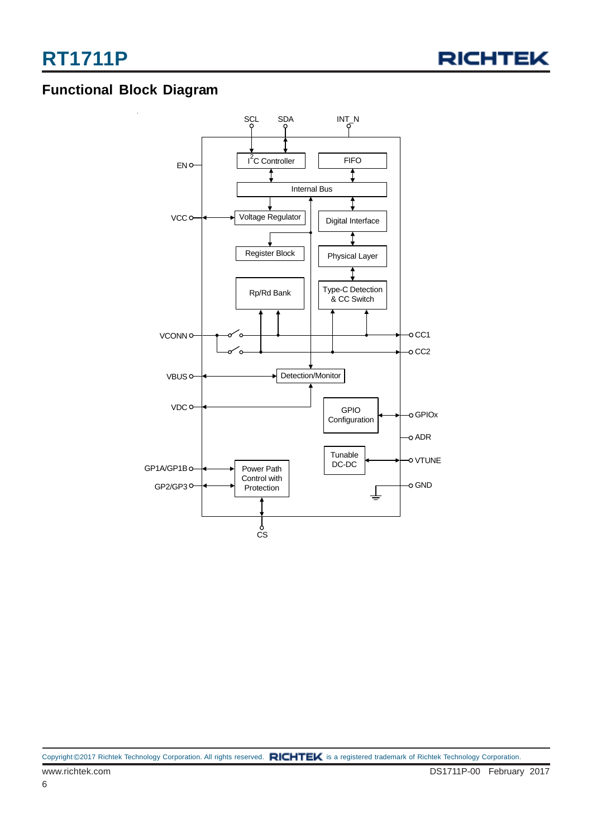

#### **Functional Block Diagram**

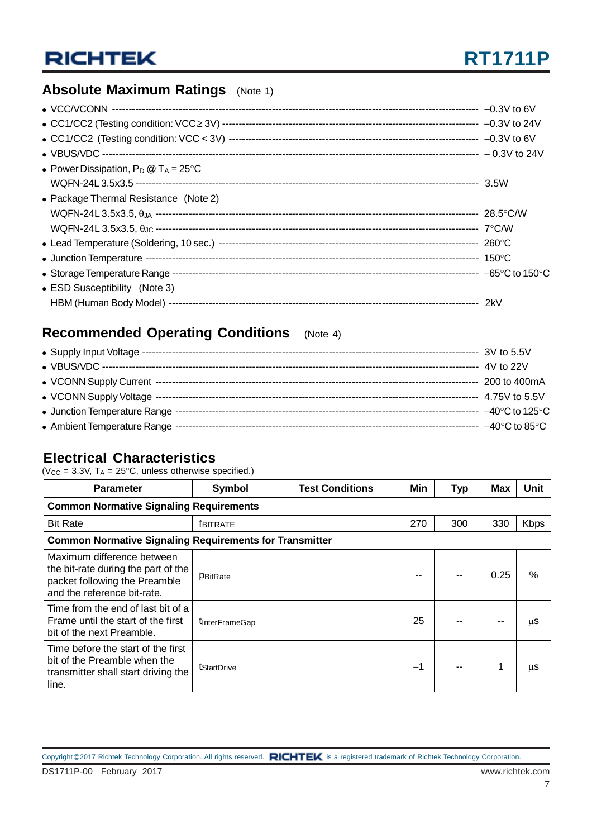#### **Absolute Maximum Ratings** (Note 1)

| • Power Dissipation, $P_D @ T_A = 25^{\circ}C$ |  |
|------------------------------------------------|--|
|                                                |  |
| • Package Thermal Resistance (Note 2)          |  |
|                                                |  |
|                                                |  |
|                                                |  |
|                                                |  |
|                                                |  |
| • ESD Susceptibility (Note 3)                  |  |
|                                                |  |

#### **Recommended Operating Conditions** (Note 4)

|                              | 3V to 5.5V                          |
|------------------------------|-------------------------------------|
|                              | 4V to 22V                           |
|                              | 200 to 400mA                        |
|                              | 4.75V to 5.5V                       |
| • Junction Temperature Range | $-40^{\circ}$ C to 125 $^{\circ}$ C |
| • Ambient Temperature Range  | $-40^{\circ}$ C to 85 $^{\circ}$ C  |

#### **Electrical Characteristics**

( $V_{CC}$  = 3.3V,  $T_A$  = 25°C, unless otherwise specified.)

| <b>Parameter</b>                                                                                                                  | Symbol                 | <b>Test Conditions</b> | Min | <b>Typ</b> | Max  | Unit        |  |  |
|-----------------------------------------------------------------------------------------------------------------------------------|------------------------|------------------------|-----|------------|------|-------------|--|--|
| <b>Common Normative Signaling Requirements</b>                                                                                    |                        |                        |     |            |      |             |  |  |
| <b>Bit Rate</b>                                                                                                                   | <b>FBITRATE</b>        |                        | 270 | 300        | 330  | <b>Kbps</b> |  |  |
| <b>Common Normative Signaling Requirements for Transmitter</b>                                                                    |                        |                        |     |            |      |             |  |  |
| Maximum difference between<br>the bit-rate during the part of the<br>packet following the Preamble<br>and the reference bit-rate. | PBitRate               |                        |     |            | 0.25 | $\%$        |  |  |
| Time from the end of last bit of a<br>Frame until the start of the first<br>bit of the next Preamble.                             | <b>T</b> InterFrameGap |                        | 25  |            |      | μS          |  |  |
| Time before the start of the first<br>bit of the Preamble when the<br>transmitter shall start driving the<br>line.                | <b>t</b> StartDrive    |                        | -1  |            |      | μS          |  |  |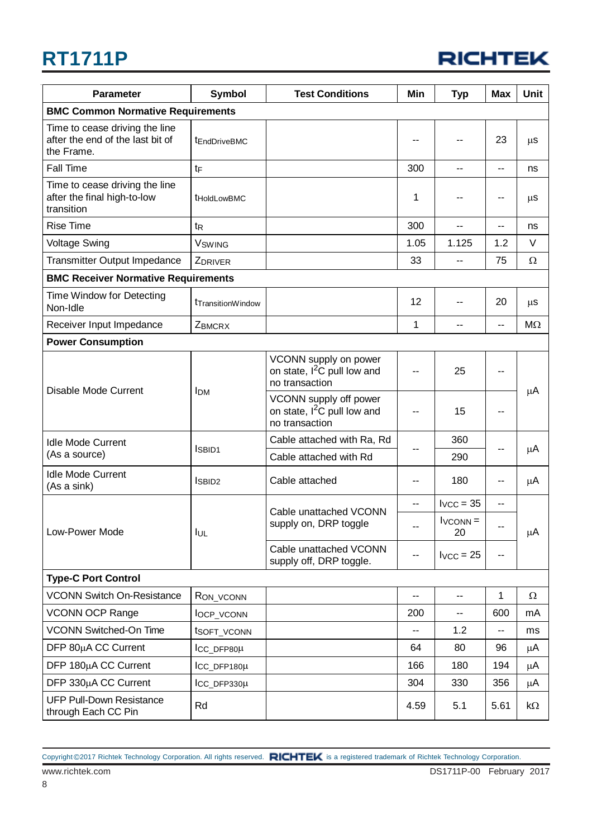

| <b>Parameter</b>                                                                 | <b>Symbol</b>                  | <b>Test Conditions</b>                                                              | Min  | <b>Typ</b>       | <b>Max</b>               | Unit      |
|----------------------------------------------------------------------------------|--------------------------------|-------------------------------------------------------------------------------------|------|------------------|--------------------------|-----------|
| <b>BMC Common Normative Requirements</b>                                         |                                |                                                                                     |      |                  |                          |           |
| Time to cease driving the line<br>after the end of the last bit of<br>the Frame. | tEndDriveBMC                   |                                                                                     |      | --               | 23                       | $\mu$ S   |
| Fall Time                                                                        | $t_{F}$                        |                                                                                     | 300  | $-$              | --                       | ns        |
| Time to cease driving the line<br>after the final high-to-low<br>transition      | <b>tHoldLowBMC</b>             |                                                                                     | 1    | --               | --                       | $\mu$ S   |
| <b>Rise Time</b>                                                                 | t <sub>R</sub>                 |                                                                                     | 300  | --               | $\overline{\phantom{a}}$ | ns        |
| <b>Voltage Swing</b>                                                             | <b>V</b> swing                 |                                                                                     | 1.05 | 1.125            | 1.2                      | V         |
| <b>Transmitter Output Impedance</b>                                              | ZDRIVER                        |                                                                                     | 33   | --               | 75                       | Ω         |
| <b>BMC Receiver Normative Requirements</b>                                       |                                |                                                                                     |      |                  |                          |           |
| Time Window for Detecting<br>Non-Idle                                            | t <sub>Transition</sub> Window |                                                                                     | 12   | --               | 20                       | $\mu$ S   |
| Receiver Input Impedance                                                         | <b>ZBMCRX</b>                  |                                                                                     | 1    | --               | --                       | $M\Omega$ |
| <b>Power Consumption</b>                                                         |                                |                                                                                     |      |                  |                          |           |
| Disable Mode Current                                                             | <b>I</b> DM                    | VCONN supply on power<br>on state, I <sup>2</sup> C pull low and<br>no transaction  | --   | 25               | --                       |           |
|                                                                                  |                                | VCONN supply off power<br>on state, I <sup>2</sup> C pull low and<br>no transaction | --   | 15               | $\overline{\phantom{m}}$ | μA        |
| <b>Idle Mode Current</b>                                                         |                                | Cable attached with Ra, Rd                                                          |      | 360              |                          |           |
| (As a source)                                                                    | <b>ISBID1</b>                  | Cable attached with Rd                                                              |      | 290              | --                       | $\mu$ A   |
| <b>Idle Mode Current</b><br>(As a sink)                                          | <b>ISBID2</b>                  | Cable attached                                                                      | --   | 180              | --                       | μA        |
|                                                                                  |                                |                                                                                     | --   | $I_{VCC} = 35$   | $-$                      |           |
| Low-Power Mode                                                                   | lul                            | Cable unattached VCONN<br>supply on, DRP toggle                                     |      | $IVCONN =$<br>20 |                          | μA        |
|                                                                                  |                                | Cable unattached VCONN<br>supply off, DRP toggle.                                   | --   | $I_{VCC} = 25$   | $\overline{\phantom{a}}$ |           |
| <b>Type-C Port Control</b>                                                       |                                |                                                                                     |      |                  |                          |           |
| <b>VCONN Switch On-Resistance</b>                                                | RON_VCONN                      |                                                                                     | --   | --               | 1                        | Ω         |
| <b>VCONN OCP Range</b>                                                           | locp_vconn                     |                                                                                     | 200  | --               | 600                      | mA        |
| VCONN Switched-On Time                                                           | tsofT_vconn                    |                                                                                     | --   | 1.2              | --                       | ms        |
| DFP 80µA CC Current                                                              | ICC_DFP80µ                     |                                                                                     | 64   | 80               | 96                       | μA        |
| DFP 180µA CC Current                                                             | $\mathsf{ICC\_DFP180\mu}$      |                                                                                     | 166  | 180              | 194                      | μA        |
| DFP 330µA CC Current                                                             | ICC_DFP330µ                    |                                                                                     | 304  | 330              | 356                      | μA        |
| <b>UFP Pull-Down Resistance</b><br>through Each CC Pin                           | Rd                             |                                                                                     | 4.59 | 5.1              | 5.61                     | kΩ        |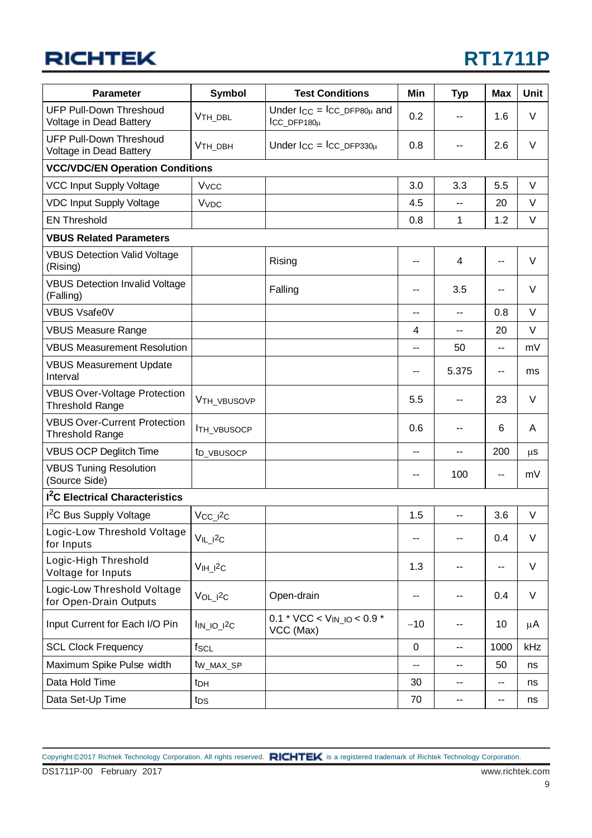## **RT1711P**

| <b>Parameter</b>                                              | <b>Symbol</b>              | <b>Test Conditions</b>                                               | Min       | <b>Typ</b>               | <b>Max</b> | <b>Unit</b> |
|---------------------------------------------------------------|----------------------------|----------------------------------------------------------------------|-----------|--------------------------|------------|-------------|
| <b>UFP Pull-Down Threshoud</b><br>Voltage in Dead Battery     | V <sub>TH_DBL</sub>        | Under $\text{I}_{CC} = \text{I}_{CC\_DFP80\mu}$ and<br>$ICC_DFP180µ$ | 0.2       |                          | 1.6        | V           |
| <b>UFP Pull-Down Threshoud</b><br>Voltage in Dead Battery     | V <sub>TH_DBH</sub>        | Under $I_{CC} = I_{CC\_DFP330\mu}$                                   | 0.8       | --                       | 2.6        | V           |
| <b>VCC/VDC/EN Operation Conditions</b>                        |                            |                                                                      |           |                          |            |             |
| <b>VCC Input Supply Voltage</b>                               | <b>V<sub>vcc</sub></b>     |                                                                      | 3.0       | 3.3                      | 5.5        | V           |
| <b>VDC Input Supply Voltage</b>                               | <b>V<sub>VDC</sub></b>     |                                                                      | 4.5       | $\overline{a}$           | 20         | V           |
| <b>EN Threshold</b>                                           |                            |                                                                      | 0.8       | 1                        | 1.2        | V           |
| <b>VBUS Related Parameters</b>                                |                            |                                                                      |           |                          |            |             |
| <b>VBUS Detection Valid Voltage</b><br>(Rising)               |                            | Rising                                                               |           | 4                        | --         | V           |
| <b>VBUS Detection Invalid Voltage</b><br>(Falling)            |                            | Falling                                                              | --        | 3.5                      | --         | V           |
| <b>VBUS Vsafe0V</b>                                           |                            |                                                                      | --        | $\overline{a}$           | 0.8        | $\vee$      |
| <b>VBUS Measure Range</b>                                     |                            |                                                                      | 4         | $\overline{a}$           | 20         | $\vee$      |
| <b>VBUS Measurement Resolution</b>                            |                            |                                                                      | --        | 50                       | $-$        | mV          |
| <b>VBUS Measurement Update</b><br>Interval                    |                            |                                                                      | ۰.        | 5.375                    | --         | ms          |
| <b>VBUS Over-Voltage Protection</b><br><b>Threshold Range</b> | VTH_VBUSOVP                |                                                                      | 5.5       |                          | 23         | V           |
| <b>VBUS Over-Current Protection</b><br><b>Threshold Range</b> | <b>ITH_VBUSOCP</b>         |                                                                      | 0.6       |                          | 6          | A           |
| <b>VBUS OCP Deglitch Time</b>                                 | t <sub>D_VBUSOCP</sub>     |                                                                      | ۰.        | --                       | 200        | $\mu s$     |
| <b>VBUS Tuning Resolution</b><br>(Source Side)                |                            |                                                                      | --        | 100                      | --         | mV          |
| <sup>2</sup> C Electrical Characteristics                     |                            |                                                                      |           |                          |            |             |
| I <sup>2</sup> C Bus Supply Voltage                           | $V_{CC_l}$ $2c$            |                                                                      | 1.5       | $\overline{a}$           | 3.6        | V           |
| Logic-Low Threshold Voltage<br>for Inputs                     | $V_{IL\_I}$ <sup>2</sup> C |                                                                      | ۰.        | $\overline{\phantom{m}}$ | 0.4        | V           |
| Logic-High Threshold<br>Voltage for Inputs                    | $VIH$ $2c$                 |                                                                      | 1.3       |                          | --         | V           |
| Logic-Low Threshold Voltage<br>for Open-Drain Outputs         | $VOL_12C$                  | Open-drain                                                           | -−        | --                       | 0.4        | V           |
| Input Current for Each I/O Pin                                | $\ln_{10}$ $12c$           | $0.1 * VCC < V_{IN\_IO} < 0.9 *$<br>VCC (Max)                        | $-10$     | --                       | 10         | μA          |
| <b>SCL Clock Frequency</b>                                    | $f_{SCL}$                  |                                                                      | $\pmb{0}$ | $\overline{a}$           | 1000       | kHz         |
| Maximum Spike Pulse width                                     | tw_max_sP                  |                                                                      | ۰.        | ۰.                       | 50         | ns          |
| Data Hold Time                                                | t <sub>DH</sub>            |                                                                      | 30        | --                       | --         | ns          |
| Data Set-Up Time                                              | t <sub>DS</sub>            |                                                                      | 70        | $\overline{\phantom{a}}$ | --         | ns          |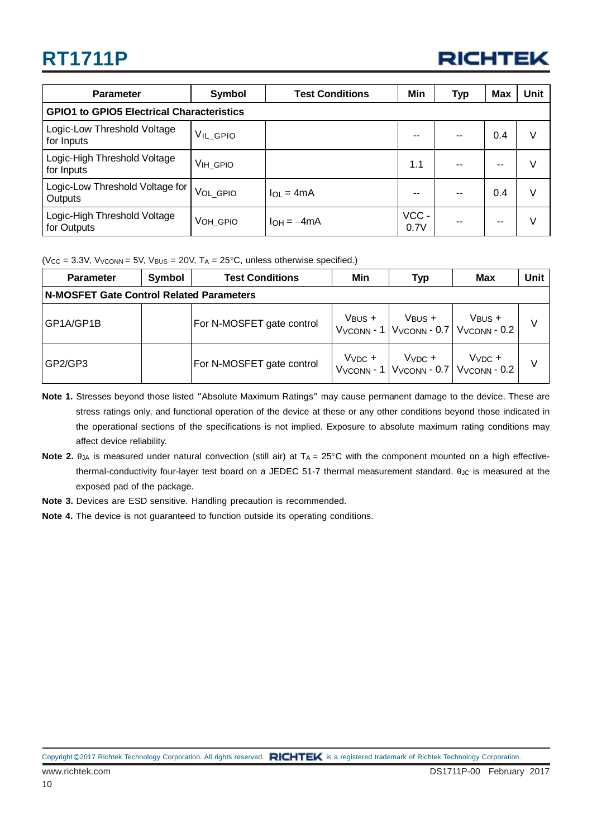

| <b>Parameter</b>                                 | Symbol         | <b>Test Conditions</b> | <b>Min</b>   | Typ | <b>Max</b> | <b>Unit</b> |  |
|--------------------------------------------------|----------------|------------------------|--------------|-----|------------|-------------|--|
| <b>GPIO1 to GPIO5 Electrical Characteristics</b> |                |                        |              |     |            |             |  |
| Logic-Low Threshold Voltage<br>for Inputs        | $V_{IL\_GPIO}$ |                        |              | --  | 0.4        | V           |  |
| Logic-High Threshold Voltage<br>for Inputs       | VIH_GPIO       |                        | 1.1          |     |            | V           |  |
| Logic-Low Threshold Voltage for<br>Outputs       | VOL_GPIO       | $I_{OL} = 4mA$         |              | --  | 0.4        | V           |  |
| Logic-High Threshold Voltage<br>for Outputs      | VOH_GPIO       | $I_{OH} = -4mA$        | VCC-<br>0.7V | --  |            | V           |  |

( $V_{CC}$  = 3.3V,  $V_{Vk}$ <sub>NN</sub> = 5V,  $V_{BUS}$  = 20V,  $T_A$  = 25°C, unless otherwise specified.)

| <b>Parameter</b>                                | Symbol | <b>Test Conditions</b>    |             | Typ         | <b>Max</b>                                                                                     | Unit |  |
|-------------------------------------------------|--------|---------------------------|-------------|-------------|------------------------------------------------------------------------------------------------|------|--|
| <b>N-MOSFET Gate Control Related Parameters</b> |        |                           |             |             |                                                                                                |      |  |
| GP1A/GP1B                                       |        | For N-MOSFET gate control | $V_{BUS}$ + | $V_{BUS}$ + | $V_{\text{BUS}} +$<br>$Vv_{\text{CONN}}$ - 1 $Vv_{\text{CONN}}$ - 0.7 $Vv_{\text{CONN}}$ - 0.2 | V    |  |
| GP2/GP3                                         |        | For N-MOSFET gate control | $VVDC +$    | $VVDC +$    | $VVDC +$<br>$Vv_{\text{CONN}}$ - 1 $Vv_{\text{CONN}}$ - 0.7 $Vv_{\text{CONN}}$ - 0.2           | V    |  |

- **Note 1.** Stresses beyond those listed "Absolute Maximum Ratings" may cause permanent damage to the device. These are stress ratings only, and functional operation of the device at these or any other conditions beyond those indicated in the operational sections of the specifications is not implied. Exposure to absolute maximum rating conditions may affect device reliability.
- Note 2.  $θ_{JA}$  is measured under natural convection (still air) at T<sub>A</sub> = 25°C with the component mounted on a high effectivethermal-conductivity four-layer test board on a JEDEC 51-7 thermal measurement standard.  $θ_{JC}$  is measured at the exposed pad of the package.
- **Note 3.** Devices are ESD sensitive. Handling precaution is recommended.
- **Note 4.** The device is not guaranteed to function outside its operating conditions.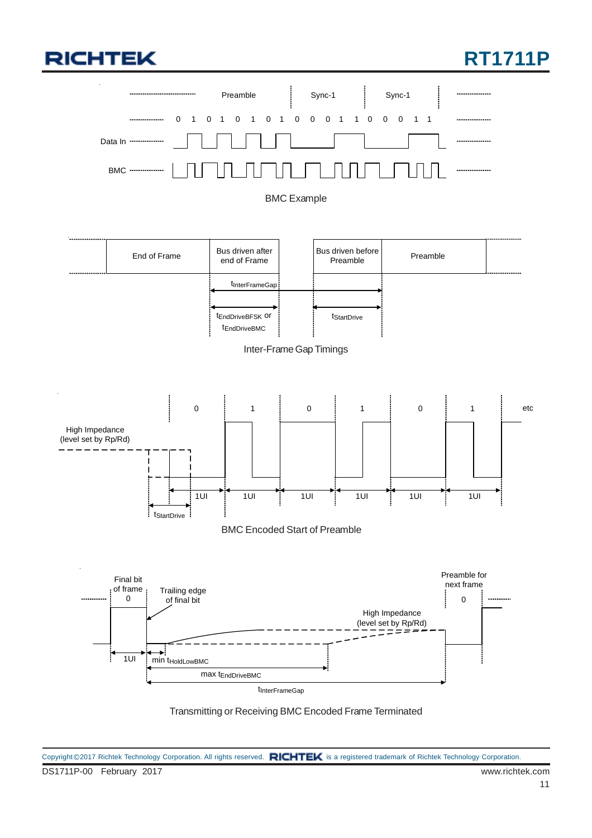#### **RT1711P**



Transmitting or Receiving BMC Encoded Frame Terminated

DS1711P-00 February 2017 www.richtek.com Copyright ©2017 Richtek Technology Corporation. All rights reserved. RICHTEK is a registered trademark of Richtek Technology Corporation.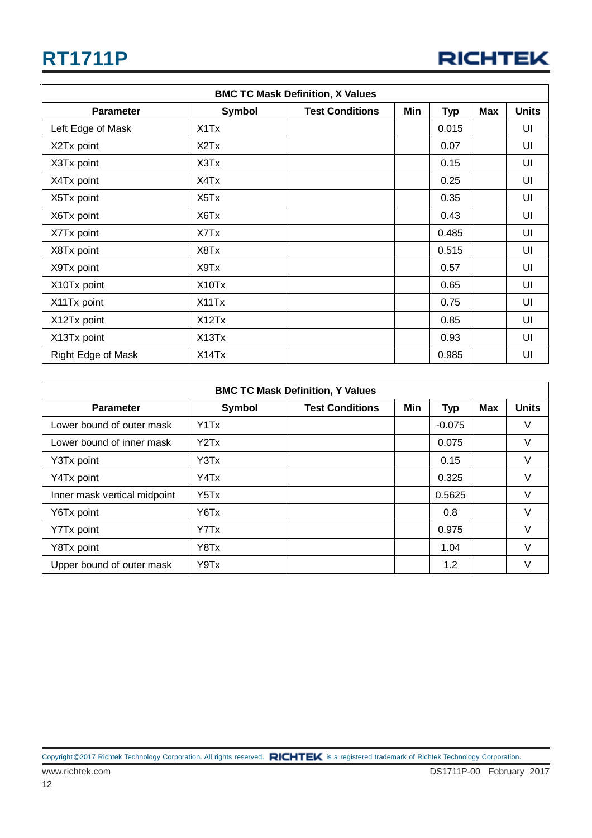| <b>BMC TC Mask Definition, X Values</b> |                                |                        |     |            |     |              |
|-----------------------------------------|--------------------------------|------------------------|-----|------------|-----|--------------|
| <b>Parameter</b>                        | <b>Symbol</b>                  | <b>Test Conditions</b> | Min | <b>Typ</b> | Max | <b>Units</b> |
| Left Edge of Mask                       | X1Tx                           |                        |     | 0.015      |     | UI           |
| X2Tx point                              | X <sub>2</sub> T <sub>x</sub>  |                        |     | 0.07       |     | UI           |
| X3Tx point                              | X3Tx                           |                        |     | 0.15       |     | UI           |
| X4Tx point                              | X4Tx                           |                        |     | 0.25       |     | UI           |
| X5Tx point                              | X <sub>5</sub> T <sub>x</sub>  |                        |     | 0.35       |     | UI           |
| X6Tx point                              | X6Tx                           |                        |     | 0.43       |     | UI           |
| X7Tx point                              | X7Tx                           |                        |     | 0.485      |     | UI           |
| X8Tx point                              | X8Tx                           |                        |     | 0.515      |     | UI           |
| X9Tx point                              | X9Tx                           |                        |     | 0.57       |     | UI           |
| X10Tx point                             | X <sub>10</sub> T <sub>x</sub> |                        |     | 0.65       |     | UI           |
| X11Tx point                             | X11Tx                          |                        |     | 0.75       |     | UI           |
| X12Tx point                             | X12Tx                          |                        |     | 0.85       |     | UI           |
| X13Tx point                             | X <sub>13</sub> T <sub>x</sub> |                        |     | 0.93       |     | UI           |
| Right Edge of Mask                      | X14Tx                          |                        |     | 0.985      |     | UI           |

| <b>BMC TC Mask Definition, Y Values</b> |                               |                        |     |            |            |              |  |
|-----------------------------------------|-------------------------------|------------------------|-----|------------|------------|--------------|--|
| <b>Parameter</b>                        | <b>Symbol</b>                 | <b>Test Conditions</b> | Min | <b>Typ</b> | <b>Max</b> | <b>Units</b> |  |
| Lower bound of outer mask               | Y1Tx                          |                        |     | $-0.075$   |            | ٧            |  |
| Lower bound of inner mask               | Y <sub>2</sub> T <sub>x</sub> |                        |     | 0.075      |            | V            |  |
| Y3Tx point                              | Y3Tx                          |                        |     | 0.15       |            | V            |  |
| Y4Tx point                              | Y4Tx                          |                        |     | 0.325      |            | V            |  |
| Inner mask vertical midpoint            | Y <sub>5</sub> T <sub>x</sub> |                        |     | 0.5625     |            | V            |  |
| Y6Tx point                              | Y6Tx                          |                        |     | 0.8        |            | V            |  |
| Y7Tx point                              | Y7Tx                          |                        |     | 0.975      |            | V            |  |
| Y8Tx point                              | Y8Tx                          |                        |     | 1.04       |            | $\vee$       |  |
| Upper bound of outer mask               | Y9Tx                          |                        |     | 1.2        |            | V            |  |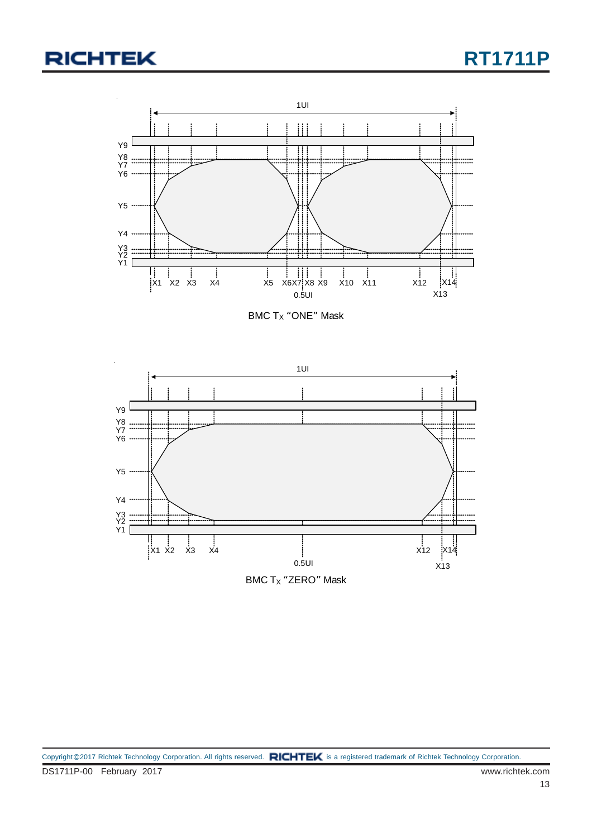

BMC  $T_X$  "ONE" Mask

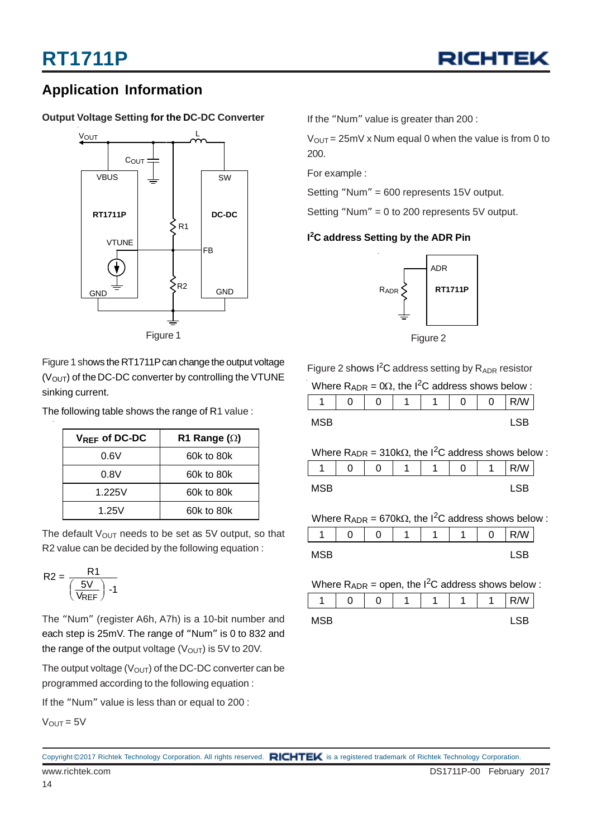

#### **Application Information**

#### **Output Voltage Setting for the DC-DC Converter**



Figure 1 shows the RT1711P can change the output voltage  $(V<sub>OUT</sub>)$  of the DC-DC converter by controlling the VTUNE sinking current.

The following table shows the range of R1 value :

| $V_{REF}$ of DC-DC | R1 Range $(\Omega)$ |
|--------------------|---------------------|
| 0.6V               | 60k to 80k          |
| 0.8V               | 60k to 80k          |
| 1.225V             | 60k to 80k          |
| 1.25V              | 60k to 80k          |

The default  $V_{\text{OUT}}$  needs to be set as 5V output, so that R2 value can be decided by the following equation :

$$
R2 = \frac{R1}{\left(\frac{5V}{V_{REF}}\right) - 1}
$$

The "Num" (register A6h, A7h) is a 10-bit number and each step is 25mV. The range of "Num" is 0 to 832 and the range of the output voltage  $(V<sub>OUT</sub>)$  is 5V to 20V.

The output voltage ( $V_{OUT}$ ) of the DC-DC converter can be programmed according to the following equation :

If the "Num" value is less than or equal to 200 :

 $V_{OUT} = 5V$ 

If the "Num" value is greater than 200 :

 $V_{\text{OUT}} = 25 \text{mV} \times \text{Num}$  equal 0 when the value is from 0 to 200.

For example :

Setting "Num" = 600 represents 15V output.

Setting "Num" = 0 to 200 represents 5V output.

#### **I 2 C address Setting by the ADR Pin**



Figure 2

Figure 2 shows  $I^2C$  address setting by  $R_{ADR}$  resistor

Where  $R_{\text{ADR}} = 0\Omega$ , the I<sup>2</sup>C address shows below :

|            | ⌒ | $\sqrt{2}$<br>υ | А | $\sim$<br>U | ⌒ | W. |
|------------|---|-----------------|---|-------------|---|----|
| <b>MSB</b> |   |                 |   |             |   |    |

|                                                                          | Where $R_{ADR} = 310k\Omega$ , the I <sup>2</sup> C address shows below : |   |   |  |  |  |      |  |  |  |  |
|--------------------------------------------------------------------------|---------------------------------------------------------------------------|---|---|--|--|--|------|--|--|--|--|
|                                                                          |                                                                           | O | 1 |  |  |  | R/W  |  |  |  |  |
| MSB                                                                      |                                                                           |   |   |  |  |  | I SB |  |  |  |  |
| Where $R_{ADR} = 670k\Omega$ , the I <sup>2</sup> C address shows below: |                                                                           |   |   |  |  |  |      |  |  |  |  |
|                                                                          |                                                                           |   | 1 |  |  |  |      |  |  |  |  |

MSB LSB

| Where $R_{ADR}$ = open, the $1^2C$ address shows below : |  |     |  |  |  |  |  |  |  |
|----------------------------------------------------------|--|-----|--|--|--|--|--|--|--|
|                                                          |  | R/W |  |  |  |  |  |  |  |
| MSB                                                      |  |     |  |  |  |  |  |  |  |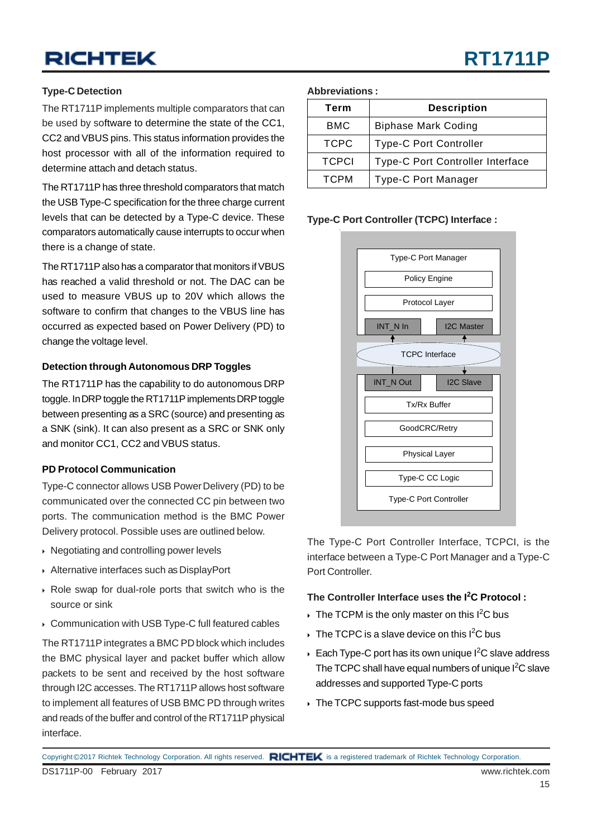#### **Type-C Detection**

The RT1711P implements multiple comparators that can be used by software to determine the state of the CC1, CC2 and VBUS pins. This status information provides the host processor with all of the information required to determine attach and detach status.

The RT1711P has three threshold comparators that match the USB Type-C specification for the three charge current levels that can be detected by a Type-C device. These comparators automatically cause interrupts to occur when there is a change of state.

The RT1711P also has a comparator that monitors if VBUS has reached a valid threshold or not. The DAC can be used to measure VBUS up to 20V which allows the software to confirm that changes to the VBUS line has occurred as expected based on Power Delivery (PD) to change the voltage level.

#### **Detection through Autonomous DRP Toggles**

The RT1711P has the capability to do autonomous DRP toggle. In DRP toggle the RT1711P implements DRP toggle between presenting as a SRC (source) and presenting as a SNK (sink). It can also present as a SRC or SNK only and monitor CC1, CC2 and VBUS status.

#### **PD Protocol Communication**

Type-C connector allows USB Power Delivery (PD) to be communicated over the connected CC pin between two ports. The communication method is the BMC Power Delivery protocol. Possible uses are outlined below.

- Negotiating and controlling power levels
- Alternative interfaces such as DisplayPort
- Role swap for dual-role ports that switch who is the source or sink
- Communication with USB Type-C full featured cables

The RT1711P integrates a BMC PD block which includes the BMC physical layer and packet buffer which allow packets to be sent and received by the host software through I2C accesses. The RT1711P allows host software to implement all features of USB BMC PD through writes and reads of the buffer and control of the RT1711P physical interface.

#### **Abbreviations :**

| Term         | <b>Description</b>               |
|--------------|----------------------------------|
| <b>BMC</b>   | <b>Biphase Mark Coding</b>       |
| <b>TCPC</b>  | <b>Type-C Port Controller</b>    |
| <b>TCPCI</b> | Type-C Port Controller Interface |
| <b>TCPM</b>  | <b>Type-C Port Manager</b>       |

#### **Type-C Port Controller (TCPC) Interface :**



The Type-C Port Controller Interface, TCPCI, is the interface between a Type-C Port Manager and a Type-C Port Controller.

#### **The Controller Interface uses the I2 C Protocol :**

- $\triangleright$  The TCPM is the only master on this I<sup>2</sup>C bus
- $\triangleright$  The TCPC is a slave device on this I<sup>2</sup>C bus
- Each Type-C port has its own unique  $I^2C$  slave address The TCPC shall have equal numbers of unique  $I^2C$  slave addresses and supported Type-C ports
- The TCPC supports fast-mode bus speed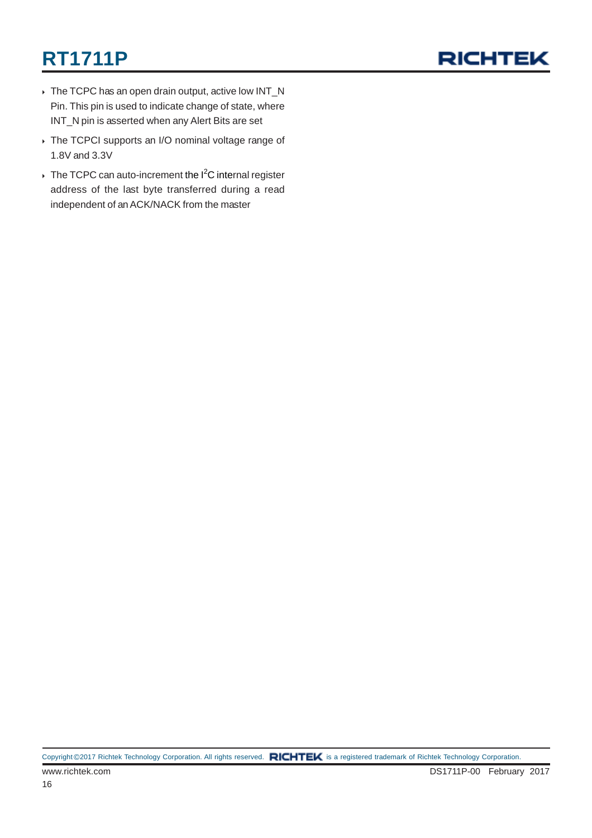

- ▶ The TCPC has an open drain output, active low INT\_N Pin. This pin is used to indicate change of state, where INT\_N pin is asserted when any Alert Bits are set
- The TCPCI supports an I/O nominal voltage range of 1.8V and 3.3V
- The TCPC can auto-increment the  $I^2C$  internal register address of the last byte transferred during a read independent of an ACK/NACK from the master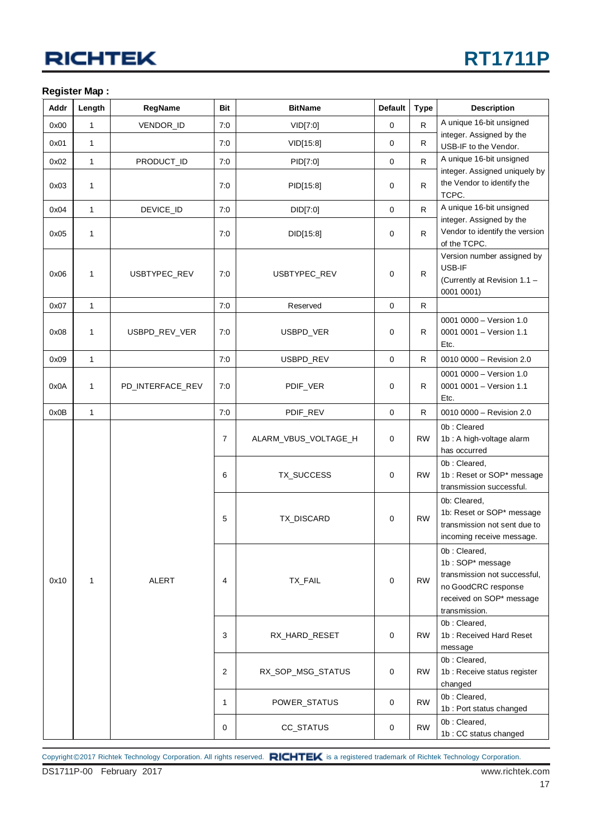#### **Register Map :**

| Addr | Length       | RegName          | <b>Bit</b>     | <b>BitName</b>       | <b>Default</b> | <b>Type</b> | <b>Description</b>                                                                                                                   |
|------|--------------|------------------|----------------|----------------------|----------------|-------------|--------------------------------------------------------------------------------------------------------------------------------------|
| 0x00 | $\mathbf{1}$ | VENDOR_ID        | 7:0            | VID[7:0]             | $\mathbf 0$    | R.          | A unique 16-bit unsigned                                                                                                             |
| 0x01 | 1            |                  | 7:0            | VID[15:8]            | 0              | R           | integer. Assigned by the<br>USB-IF to the Vendor.                                                                                    |
| 0x02 | 1            | PRODUCT_ID       | 7:0            | PID[7:0]             | 0              | R.          | A unique 16-bit unsigned                                                                                                             |
| 0x03 | 1            |                  | 7:0            | PID[15:8]            | $\mathbf 0$    | R.          | integer. Assigned uniquely by<br>the Vendor to identify the<br>TCPC.                                                                 |
| 0x04 | 1            | DEVICE_ID        | 7:0            | DID[7:0]             | $\mathbf 0$    | R.          | A unique 16-bit unsigned                                                                                                             |
| 0x05 | 1            |                  | 7:0            | DID[15:8]            |                | R           | integer. Assigned by the<br>Vendor to identify the version<br>of the TCPC.                                                           |
| 0x06 | 1            | USBTYPEC_REV     | 7:0            | USBTYPEC_REV         | $\mathbf 0$    | R           | Version number assigned by<br>USB-IF<br>(Currently at Revision 1.1 -<br>0001 0001)                                                   |
| 0x07 | $\mathbf{1}$ |                  | 7:0            | Reserved             | $\mathbf 0$    | R           |                                                                                                                                      |
| 0x08 | 1            | USBPD_REV_VER    | 7:0            | USBPD_VER            | $\mathbf 0$    | R           | 0001 0000 - Version 1.0<br>0001 0001 - Version 1.1<br>Etc.                                                                           |
| 0x09 | 1            |                  | 7:0            | USBPD_REV            | $\mathbf 0$    | R           | 0010 0000 - Revision 2.0                                                                                                             |
| 0x0A | 1            | PD_INTERFACE_REV | 7:0            | PDIF_VER<br>0        |                | R           | 0001 0000 - Version 1.0<br>0001 0001 - Version 1.1<br>Etc.                                                                           |
| 0x0B | 1            |                  | 7:0            | PDIF_REV             | 0              | R           | 0010 0000 - Revision 2.0                                                                                                             |
|      |              | <b>ALERT</b>     | $\overline{7}$ | ALARM_VBUS_VOLTAGE_H | $\mathbf 0$    | <b>RW</b>   | 0b: Cleared<br>1b : A high-voltage alarm<br>has occurred                                                                             |
|      |              |                  | 6              | TX_SUCCESS           | $\mathbf 0$    | <b>RW</b>   | 0b: Cleared,<br>1b: Reset or SOP* message<br>transmission successful.                                                                |
|      |              |                  | 5              | TX_DISCARD           | $\mathbf 0$    | <b>RW</b>   | 0b: Cleared,<br>1b: Reset or SOP* message<br>transmission not sent due to<br>incoming receive message.                               |
| 0x10 | 1            |                  | 4              | TX_FAIL              | $\mathbf 0$    | <b>RW</b>   | 0b: Cleared,<br>1b: SOP* message<br>transmission not successful,<br>no GoodCRC response<br>received on SOP* message<br>transmission. |
|      |              |                  | 3              | RX_HARD_RESET        | $\mathbf 0$    | <b>RW</b>   | 0b: Cleared,<br>1b: Received Hard Reset<br>message                                                                                   |
|      |              |                  | 2              | RX_SOP_MSG_STATUS    | 0              | <b>RW</b>   | 0b: Cleared,<br>1b : Receive status register<br>changed                                                                              |
|      |              |                  | 1              | POWER_STATUS         | 0              | <b>RW</b>   | 0b: Cleared,<br>1b : Port status changed                                                                                             |
|      |              |                  | 0              | CC_STATUS            | $\mathbf 0$    | <b>RW</b>   | 0b: Cleared,<br>1b: CC status changed                                                                                                |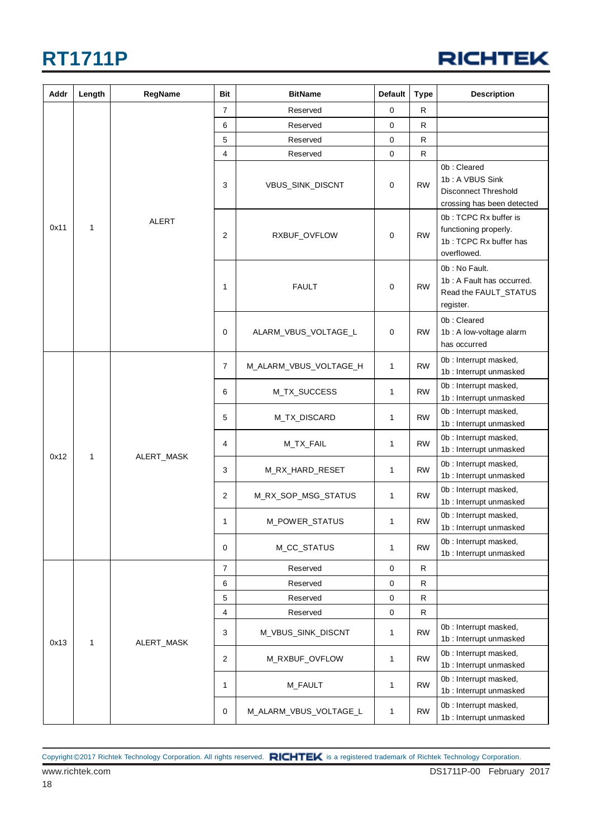

| Addr      | Length       | RegName    | <b>Bit</b>     | <b>BitName</b>         | <b>Default</b> | <b>Type</b>                                                                             | <b>Description</b>                                                                          |
|-----------|--------------|------------|----------------|------------------------|----------------|-----------------------------------------------------------------------------------------|---------------------------------------------------------------------------------------------|
|           |              |            | $\overline{7}$ | Reserved               | 0              | $\mathsf{R}$                                                                            |                                                                                             |
|           |              |            | 6              | Reserved               | 0              | ${\sf R}$                                                                               |                                                                                             |
|           |              |            | 5              | Reserved               | 0              | $\mathsf R$                                                                             |                                                                                             |
|           |              |            | 4              | Reserved               | 0              | $\mathsf{R}$                                                                            |                                                                                             |
| 0x11<br>1 |              |            | 3              | VBUS_SINK_DISCNT       | 0              | <b>RW</b>                                                                               | 0b: Cleared<br>1b: A VBUS Sink<br><b>Disconnect Threshold</b><br>crossing has been detected |
|           | <b>ALERT</b> | 2          | RXBUF_OVFLOW   | $\mathbf 0$            | <b>RW</b>      | 0b: TCPC Rx buffer is<br>functioning properly.<br>1b: TCPC Rx buffer has<br>overflowed. |                                                                                             |
|           |              |            | 1              | <b>FAULT</b>           | 0              | <b>RW</b>                                                                               | 0b: No Fault.<br>1b: A Fault has occurred.<br>Read the FAULT_STATUS<br>register.            |
|           |              |            | 0              | ALARM_VBUS_VOLTAGE_L   | 0              | <b>RW</b>                                                                               | 0b: Cleared<br>1b : A low-voltage alarm<br>has occurred                                     |
|           |              | ALERT_MASK | $\overline{7}$ | M_ALARM_VBUS_VOLTAGE_H | $\mathbf{1}$   | <b>RW</b>                                                                               | 0b: Interrupt masked,<br>1b: Interrupt unmasked                                             |
|           |              |            | 6              | M_TX_SUCCESS           | 1              | <b>RW</b>                                                                               | 0b : Interrupt masked,<br>1b: Interrupt unmasked                                            |
|           |              |            | 5              | M_TX_DISCARD           | 1              | <b>RW</b>                                                                               | 0b : Interrupt masked,<br>1b : Interrupt unmasked                                           |
|           |              |            | 4              | M_TX_FAIL              | 1              | <b>RW</b>                                                                               | 0b : Interrupt masked,<br>1b: Interrupt unmasked                                            |
| 0x12      | $\mathbf{1}$ |            | 3              | M_RX_HARD_RESET        | 1              | <b>RW</b>                                                                               | 0b : Interrupt masked,<br>1b: Interrupt unmasked                                            |
|           |              |            | 2              | M_RX_SOP_MSG_STATUS    | 1              | <b>RW</b>                                                                               | 0b : Interrupt masked,<br>1b : Interrupt unmasked                                           |
|           |              |            | 1              | M_POWER_STATUS         | 1              | <b>RW</b>                                                                               | 0b : Interrupt masked,<br>1b : Interrupt unmasked                                           |
|           |              |            | 0              | M_CC_STATUS            | 1              | <b>RW</b>                                                                               | 0b : Interrupt masked,<br>1b : Interrupt unmasked                                           |
|           |              |            | 7              | Reserved               | 0              | R                                                                                       |                                                                                             |
|           |              |            | 6              | Reserved               | 0              | $\mathsf R$                                                                             |                                                                                             |
|           |              |            | 5              | Reserved               | 0              | R                                                                                       |                                                                                             |
|           |              |            | 4              | Reserved               | 0              | $\mathsf R$                                                                             |                                                                                             |
| 0x13      | 1            | ALERT_MASK | 3              | M_VBUS_SINK_DISCNT     | 1              | <b>RW</b>                                                                               | 0b : Interrupt masked,<br>1b : Interrupt unmasked                                           |
|           |              |            | $\overline{2}$ | M_RXBUF_OVFLOW         | 1              | <b>RW</b>                                                                               | 0b : Interrupt masked,<br>1b : Interrupt unmasked                                           |
|           |              |            | 1              | M_FAULT                | 1              | <b>RW</b>                                                                               | 0b : Interrupt masked,<br>1b : Interrupt unmasked                                           |
|           |              |            | 0              | M_ALARM_VBUS_VOLTAGE_L | 1              | <b>RW</b>                                                                               | 0b : Interrupt masked,<br>1b : Interrupt unmasked                                           |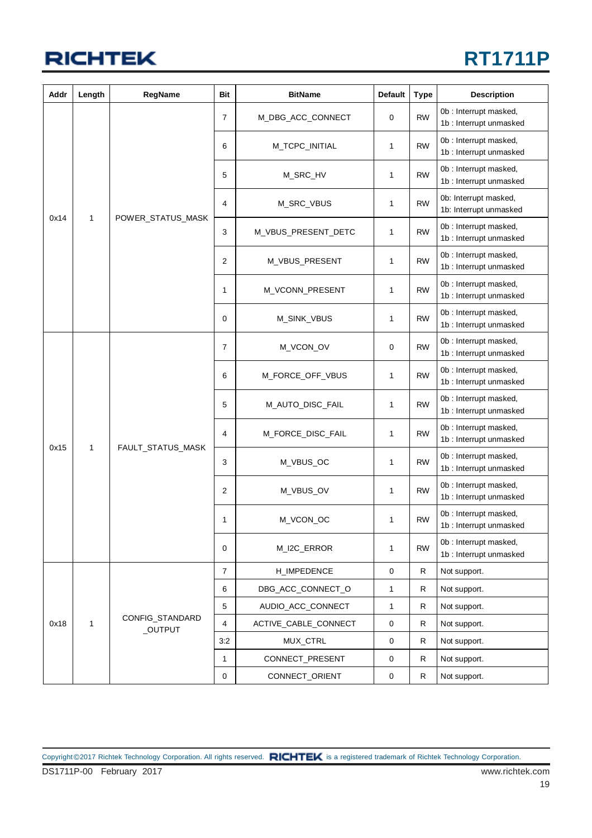

| Addr | Length       | RegName                    | Bit            | <b>BitName</b>       | <b>Default</b> | <b>Type</b>  | <b>Description</b>                                |
|------|--------------|----------------------------|----------------|----------------------|----------------|--------------|---------------------------------------------------|
|      |              |                            | 7              | M_DBG_ACC_CONNECT    | 0              | <b>RW</b>    | 0b: Interrupt masked,<br>1b : Interrupt unmasked  |
|      |              |                            | 6              | M_TCPC_INITIAL       | 1              | <b>RW</b>    | 0b : Interrupt masked,<br>1b : Interrupt unmasked |
|      |              |                            | 5              | M_SRC_HV             | 1              | <b>RW</b>    | 0b : Interrupt masked,<br>1b: Interrupt unmasked  |
|      |              |                            | 4              | M_SRC_VBUS           | 1              | <b>RW</b>    | 0b: Interrupt masked,<br>1b: Interrupt unmasked   |
| 0x14 | 1            | POWER_STATUS_MASK          | 3              | M_VBUS_PRESENT_DETC  | 1              | <b>RW</b>    | 0b: Interrupt masked,<br>1b : Interrupt unmasked  |
|      |              |                            | 2              | M_VBUS_PRESENT       | 1              | <b>RW</b>    | 0b : Interrupt masked,<br>1b : Interrupt unmasked |
|      |              |                            | 1              | M_VCONN_PRESENT      | 1              | <b>RW</b>    | 0b: Interrupt masked,<br>1b : Interrupt unmasked  |
|      |              |                            | 0              | M_SINK_VBUS          | 1              | <b>RW</b>    | 0b : Interrupt masked,<br>1b: Interrupt unmasked  |
|      |              | FAULT_STATUS_MASK          | $\overline{7}$ | M_VCON_OV            | 0              | <b>RW</b>    | 0b : Interrupt masked,<br>1b : Interrupt unmasked |
|      |              |                            | 6              | M_FORCE_OFF_VBUS     | 1              | <b>RW</b>    | 0b: Interrupt masked,<br>1b : Interrupt unmasked  |
|      |              |                            | 5              | M_AUTO_DISC_FAIL     | 1              | <b>RW</b>    | 0b: Interrupt masked,<br>1b : Interrupt unmasked  |
|      |              |                            | 4              | M_FORCE_DISC_FAIL    | 1              | <b>RW</b>    | 0b : Interrupt masked,<br>1b : Interrupt unmasked |
| 0x15 | 1            |                            | 3              | M_VBUS_OC            | 1              | <b>RW</b>    | 0b: Interrupt masked,<br>1b : Interrupt unmasked  |
|      |              |                            | 2              | M_VBUS_OV            | 1              | <b>RW</b>    | 0b : Interrupt masked,<br>1b : Interrupt unmasked |
|      |              |                            | 1              | M_VCON_OC            | 1              | <b>RW</b>    | 0b : Interrupt masked,<br>1b: Interrupt unmasked  |
|      |              |                            | $\mathbf 0$    | M_I2C_ERROR          | 1              | <b>RW</b>    | 0b : Interrupt masked,<br>1b : Interrupt unmasked |
|      |              |                            | $\overline{7}$ | H_IMPEDENCE          | $\mathbf 0$    | R            | Not support.                                      |
|      |              |                            | 6              | DBG_ACC_CONNECT_O    | 1              | $\mathsf{R}$ | Not support.                                      |
|      |              |                            | 5              | AUDIO_ACC_CONNECT    | 1              | R            | Not support.                                      |
| 0x18 | $\mathbf{1}$ | CONFIG_STANDARD<br>_OUTPUT | $\overline{4}$ | ACTIVE_CABLE_CONNECT | $\mathbf 0$    | R            | Not support.                                      |
|      |              |                            | 3:2            | MUX_CTRL             | 0              | R            | Not support.                                      |
|      |              |                            | $\mathbf{1}$   | CONNECT_PRESENT      | 0              | R            | Not support.                                      |
|      |              |                            | $\mathbf 0$    | CONNECT_ORIENT       | 0              | ${\sf R}$    | Not support.                                      |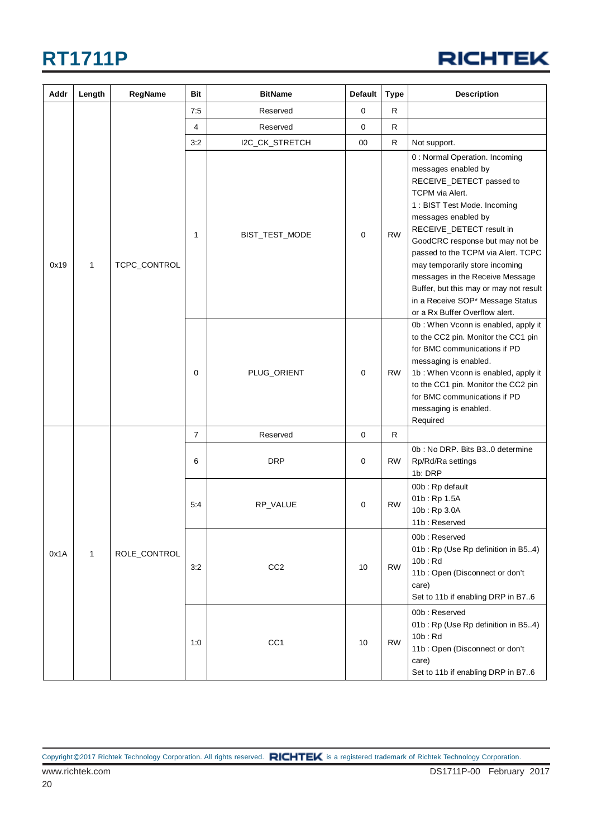

| Addr                 | Length       | RegName      | Bit             | <b>BitName</b>  | <b>Default</b> | <b>Type</b>                                                                                                                                                                                                                                                                                                                                                                                                                                          | <b>Description</b>                                                                                                                                                                                                                                                                     |                                                                  |
|----------------------|--------------|--------------|-----------------|-----------------|----------------|------------------------------------------------------------------------------------------------------------------------------------------------------------------------------------------------------------------------------------------------------------------------------------------------------------------------------------------------------------------------------------------------------------------------------------------------------|----------------------------------------------------------------------------------------------------------------------------------------------------------------------------------------------------------------------------------------------------------------------------------------|------------------------------------------------------------------|
|                      |              |              | 7:5             | Reserved        | $\mathbf 0$    | $\mathsf{R}$                                                                                                                                                                                                                                                                                                                                                                                                                                         |                                                                                                                                                                                                                                                                                        |                                                                  |
|                      |              |              | 4               | Reserved        | 0              | R                                                                                                                                                                                                                                                                                                                                                                                                                                                    |                                                                                                                                                                                                                                                                                        |                                                                  |
|                      |              |              | 3:2             | I2C_CK_STRETCH  | 00             | $\mathsf{R}$                                                                                                                                                                                                                                                                                                                                                                                                                                         | Not support.                                                                                                                                                                                                                                                                           |                                                                  |
| 0x19<br>$\mathbf{1}$ | TCPC_CONTROL | 1            | BIST_TEST_MODE  | 0               | <b>RW</b>      | 0 : Normal Operation. Incoming<br>messages enabled by<br>RECEIVE_DETECT passed to<br>TCPM via Alert.<br>1: BIST Test Mode. Incoming<br>messages enabled by<br>RECEIVE_DETECT result in<br>GoodCRC response but may not be<br>passed to the TCPM via Alert. TCPC<br>may temporarily store incoming<br>messages in the Receive Message<br>Buffer, but this may or may not result<br>in a Receive SOP* Message Status<br>or a Rx Buffer Overflow alert. |                                                                                                                                                                                                                                                                                        |                                                                  |
|                      |              |              | $\mathbf 0$     | PLUG_ORIENT     | $\mathbf 0$    | <b>RW</b>                                                                                                                                                                                                                                                                                                                                                                                                                                            | 0b: When Vconn is enabled, apply it<br>to the CC2 pin. Monitor the CC1 pin<br>for BMC communications if PD<br>messaging is enabled.<br>1b: When Vconn is enabled, apply it<br>to the CC1 pin. Monitor the CC2 pin<br>for BMC communications if PD<br>messaging is enabled.<br>Required |                                                                  |
|                      |              |              | $\overline{7}$  | Reserved        | $\mathbf 0$    | $\mathsf{R}$                                                                                                                                                                                                                                                                                                                                                                                                                                         |                                                                                                                                                                                                                                                                                        |                                                                  |
|                      |              | ROLE_CONTROL | 6               | <b>DRP</b>      | 0              | <b>RW</b>                                                                                                                                                                                                                                                                                                                                                                                                                                            | 0b: No DRP. Bits B30 determine<br>Rp/Rd/Ra settings<br>1b: DRP                                                                                                                                                                                                                         |                                                                  |
|                      |              |              |                 | 5:4             | RP_VALUE       | $\mathbf 0$                                                                                                                                                                                                                                                                                                                                                                                                                                          | <b>RW</b>                                                                                                                                                                                                                                                                              | 00b: Rp default<br>01b: Rp 1.5A<br>10b: Rp 3.0A<br>11b: Reserved |
| 0x1A<br>$\mathbf{1}$ |              |              | 3:2             | CC <sub>2</sub> | 10             | <b>RW</b>                                                                                                                                                                                                                                                                                                                                                                                                                                            | 00b: Reserved<br>01b: Rp (Use Rp definition in B54)<br>$10b$ : Rd<br>11b: Open (Disconnect or don't<br>care)<br>Set to 11b if enabling DRP in B76                                                                                                                                      |                                                                  |
|                      |              | 1:0          | CC <sub>1</sub> | 10              | <b>RW</b>      | 00b: Reserved<br>01b: Rp (Use Rp definition in B54)<br>10b: Rd<br>11b: Open (Disconnect or don't<br>care)<br>Set to 11b if enabling DRP in B76                                                                                                                                                                                                                                                                                                       |                                                                                                                                                                                                                                                                                        |                                                                  |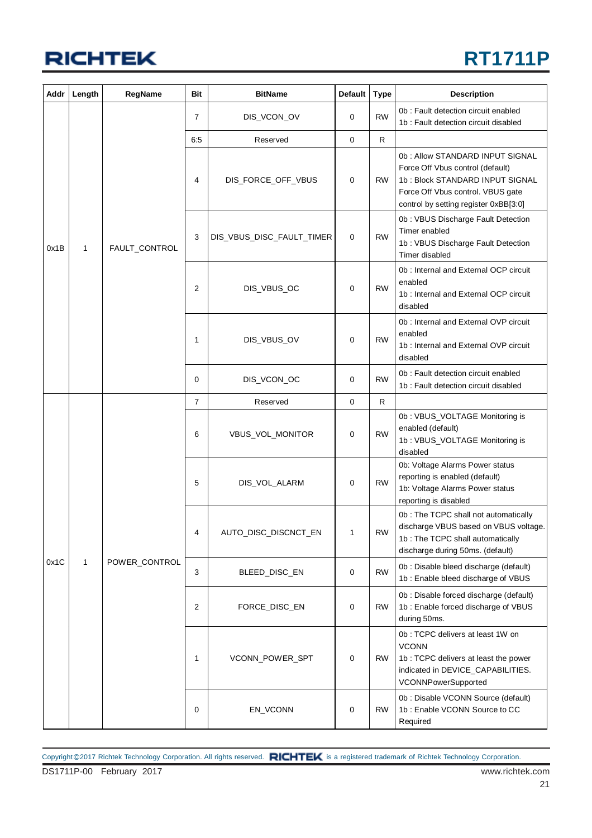### **RT1711P**

| Addr | Length       | RegName       | Bit            | <b>BitName</b>            | <b>Default</b> | <b>Type</b> | <b>Description</b>                                                                                                                                                                   |
|------|--------------|---------------|----------------|---------------------------|----------------|-------------|--------------------------------------------------------------------------------------------------------------------------------------------------------------------------------------|
|      |              |               | $\overline{7}$ | DIS_VCON_OV               | 0              | <b>RW</b>   | 0b: Fault detection circuit enabled<br>1b: Fault detection circuit disabled                                                                                                          |
|      |              |               | 6:5            | Reserved                  | 0              | R           |                                                                                                                                                                                      |
|      |              |               | 4              | DIS_FORCE_OFF_VBUS        | 0              | <b>RW</b>   | 0b: Allow STANDARD INPUT SIGNAL<br>Force Off Vbus control (default)<br>1b: Block STANDARD INPUT SIGNAL<br>Force Off Vbus control. VBUS gate<br>control by setting register 0xBB[3:0] |
| 0x1B | 1            | FAULT_CONTROL | 3              | DIS_VBUS_DISC_FAULT_TIMER | 0              | <b>RW</b>   | 0b: VBUS Discharge Fault Detection<br>Timer enabled<br>1b: VBUS Discharge Fault Detection<br>Timer disabled                                                                          |
|      |              |               | 2              | DIS_VBUS_OC               | $\mathbf 0$    | <b>RW</b>   | 0b: Internal and External OCP circuit<br>enabled<br>1b: Internal and External OCP circuit<br>disabled                                                                                |
|      |              |               | 1              | DIS_VBUS_OV               | 0              | <b>RW</b>   | 0b: Internal and External OVP circuit<br>enabled<br>1b: Internal and External OVP circuit<br>disabled                                                                                |
|      |              |               | $\mathbf 0$    | DIS_VCON_OC               | 0              | <b>RW</b>   | 0b: Fault detection circuit enabled<br>1b: Fault detection circuit disabled                                                                                                          |
|      |              |               | 7              | Reserved                  | $\mathbf 0$    | R           |                                                                                                                                                                                      |
|      |              |               | 6              | VBUS_VOL_MONITOR          | 0              | <b>RW</b>   | 0b: VBUS_VOLTAGE Monitoring is<br>enabled (default)<br>1b: VBUS_VOLTAGE Monitoring is<br>disabled                                                                                    |
|      |              |               |                | 5                         | DIS_VOL_ALARM  | 0           | <b>RW</b>                                                                                                                                                                            |
|      |              |               | 4              | AUTO_DISC_DISCNCT_EN      | 1              | <b>RW</b>   | 0b: The TCPC shall not automatically<br>discharge VBUS based on VBUS voltage.<br>1b: The TCPC shall automatically<br>discharge during 50ms. (default)                                |
| 0x1C | $\mathbf{1}$ | POWER_CONTROL | 3              | BLEED_DISC_EN             | $\mathbf 0$    | <b>RW</b>   | 0b : Disable bleed discharge (default)<br>1b: Enable bleed discharge of VBUS                                                                                                         |
|      |              |               | 2              | FORCE_DISC_EN             | 0              | <b>RW</b>   | 0b : Disable forced discharge (default)<br>1b: Enable forced discharge of VBUS<br>during 50ms.                                                                                       |
|      |              |               | $\mathbf{1}$   | VCONN_POWER_SPT           | 0              | <b>RW</b>   | 0b: TCPC delivers at least 1W on<br><b>VCONN</b><br>1b: TCPC delivers at least the power<br>indicated in DEVICE_CAPABILITIES.<br>VCONNPowerSupported                                 |
|      |              |               | 0              | EN_VCONN                  | 0              | <b>RW</b>   | 0b : Disable VCONN Source (default)<br>1b: Enable VCONN Source to CC<br>Required                                                                                                     |

DS1711P-00 February 2017 www.richtek.com Copyright ©2017 Richtek Technology Corporation. All rights reserved. RICHTEK is a registered trademark of Richtek Technology Corporation.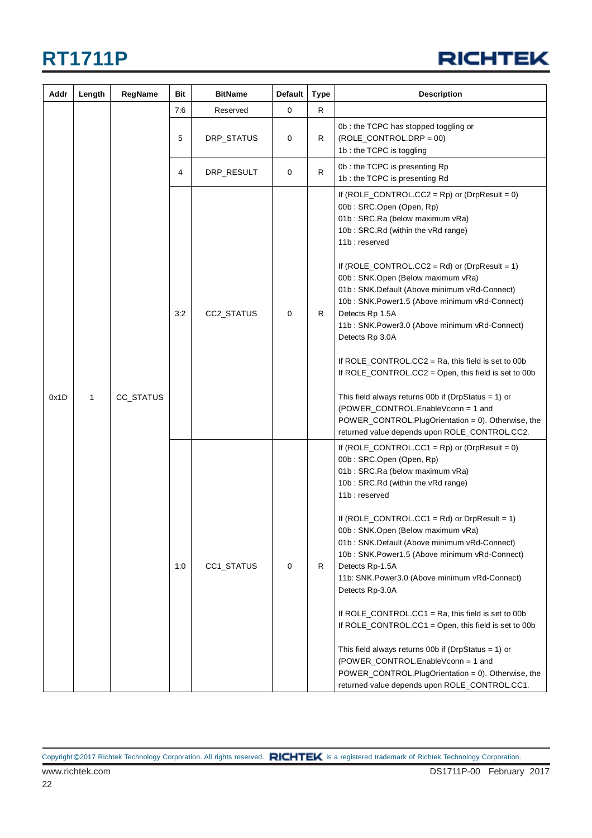

| Addr | Length       | RegName   | Bit | <b>BitName</b> | <b>Default</b><br><b>Type</b> |    | <b>Description</b>                                                                                                                                                                                                                                                              |
|------|--------------|-----------|-----|----------------|-------------------------------|----|---------------------------------------------------------------------------------------------------------------------------------------------------------------------------------------------------------------------------------------------------------------------------------|
|      |              |           | 7:6 | Reserved       | 0                             | R. |                                                                                                                                                                                                                                                                                 |
|      |              |           | 5   | DRP_STATUS     | $\mathbf 0$                   | R  | 0b: the TCPC has stopped toggling or<br>$(ROLE\_CONTROL.DRP = 00)$<br>1b: the TCPC is toggling                                                                                                                                                                                  |
|      |              | CC_STATUS | 4   | DRP_RESULT     | 0                             | R  | 0b: the TCPC is presenting Rp<br>1b: the TCPC is presenting Rd                                                                                                                                                                                                                  |
|      |              |           |     | CC2_STATUS     | 0                             |    | If $(ROLE\_CONTROL.CC2 = Rp)$ or $(DrpResult = 0)$<br>00b: SRC.Open (Open, Rp)<br>01b: SRC.Ra (below maximum vRa)<br>10b: SRC.Rd (within the vRd range)<br>11b: reserved                                                                                                        |
|      |              |           | 3:2 |                |                               | R  | If $(ROLE\_CONTROL.CC2 = Rd)$ or $(DrpResult = 1)$<br>00b: SNK.Open (Below maximum vRa)<br>01b: SNK.Default (Above minimum vRd-Connect)<br>10b: SNK.Power1.5 (Above minimum vRd-Connect)<br>Detects Rp 1.5A<br>11b: SNK.Power3.0 (Above minimum vRd-Connect)<br>Detects Rp 3.0A |
|      | $\mathbf{1}$ |           |     |                |                               |    | If ROLE_CONTROL.CC2 = Ra, this field is set to 00b<br>If ROLE_CONTROL.CC2 = Open, this field is set to 00b                                                                                                                                                                      |
| 0x1D |              |           |     |                |                               |    | This field always returns 00b if (DrpStatus = 1) or<br>(POWER_CONTROL.EnableVconn = 1 and<br>POWER_CONTROL.PlugOrientation = 0). Otherwise, the<br>returned value depends upon ROLE_CONTROL.CC2.                                                                                |
|      |              |           | 1:0 |                |                               |    | If $(ROLE\_CONTROL.CC1 = Rp)$ or $(DrpResult = 0)$<br>00b: SRC.Open (Open, Rp)<br>01b: SRC.Ra (below maximum vRa)<br>10b: SRC.Rd (within the vRd range)<br>11b: reserved                                                                                                        |
|      |              |           |     | CC1_STATUS     | 0                             | R  | If $(ROLE\_CONTROL.CC1 = Rd)$ or $DrpResult = 1)$<br>00b: SNK.Open (Below maximum vRa)<br>01b: SNK.Default (Above minimum vRd-Connect)<br>10b: SNK.Power1.5 (Above minimum vRd-Connect)<br>Detects Rp-1.5A<br>11b: SNK.Power3.0 (Above minimum vRd-Connect)<br>Detects Rp-3.0A  |
|      |              |           |     |                |                               |    | If ROLE_CONTROL.CC1 = Ra, this field is set to 00b<br>If ROLE_CONTROL.CC1 = Open, this field is set to 00b                                                                                                                                                                      |
|      |              |           |     |                |                               |    | This field always returns 00b if (DrpStatus = 1) or<br>(POWER_CONTROL.EnableVconn = 1 and<br>POWER_CONTROL.PlugOrientation = 0). Otherwise, the<br>returned value depends upon ROLE_CONTROL.CC1.                                                                                |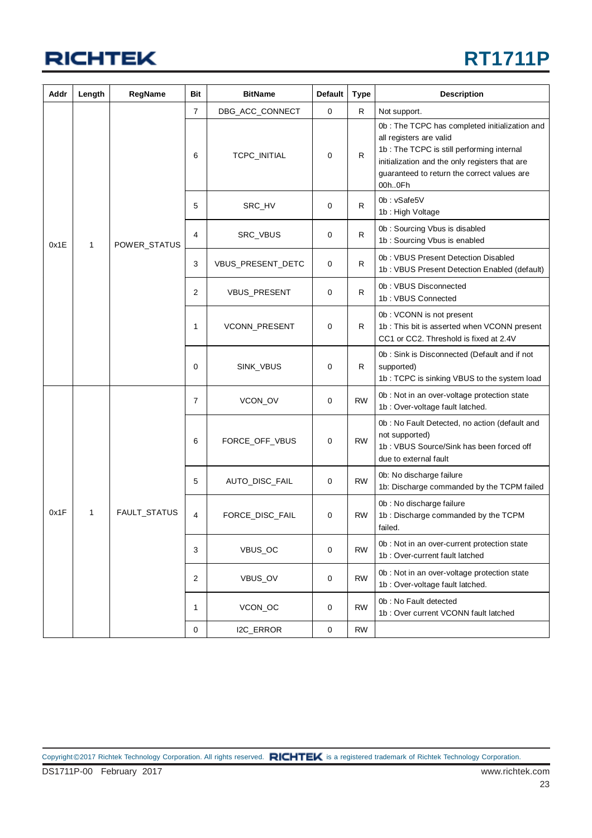## **RT1711P**

| Addr | Length | RegName      | Bit            | <b>BitName</b>    | <b>Default</b><br><b>Type</b> |              | <b>Description</b>                                                                                                                                                                                                                |
|------|--------|--------------|----------------|-------------------|-------------------------------|--------------|-----------------------------------------------------------------------------------------------------------------------------------------------------------------------------------------------------------------------------------|
|      |        |              | 7              | DBG_ACC_CONNECT   | 0                             | R            | Not support.                                                                                                                                                                                                                      |
|      |        |              | 6              | TCPC_INITIAL      | 0                             | $\mathsf{R}$ | 0b : The TCPC has completed initialization and<br>all registers are valid<br>1b: The TCPC is still performing internal<br>initialization and the only registers that are<br>guaranteed to return the correct values are<br>00h0Fh |
|      |        |              | 5              | SRC_HV            | 0                             | R            | 0b: vSafe5V<br>1b: High Voltage                                                                                                                                                                                                   |
| 0x1E | 1      | POWER_STATUS | 4              | SRC_VBUS          | 0                             | R            | 0b: Sourcing Vbus is disabled<br>1b: Sourcing Vbus is enabled                                                                                                                                                                     |
|      |        |              | 3              | VBUS_PRESENT_DETC | 0                             | R            | 0b: VBUS Present Detection Disabled<br>1b: VBUS Present Detection Enabled (default)                                                                                                                                               |
|      |        |              | $\overline{2}$ | VBUS_PRESENT      | 0                             | $\mathsf{R}$ | 0b: VBUS Disconnected<br>1b: VBUS Connected                                                                                                                                                                                       |
|      |        |              | 1              | VCONN_PRESENT     | 0                             | R            | 0b: VCONN is not present<br>1b: This bit is asserted when VCONN present<br>CC1 or CC2. Threshold is fixed at 2.4V                                                                                                                 |
|      |        |              | $\Omega$       | SINK_VBUS         | 0                             | R            | 0b: Sink is Disconnected (Default and if not<br>supported)<br>1b: TCPC is sinking VBUS to the system load                                                                                                                         |
|      |        |              | $\overline{7}$ | VCON_OV           | 0                             | <b>RW</b>    | 0b : Not in an over-voltage protection state<br>1b : Over-voltage fault latched.                                                                                                                                                  |
|      |        |              | 6              | FORCE_OFF_VBUS    | 0                             | <b>RW</b>    | 0b : No Fault Detected, no action (default and<br>not supported)<br>1b: VBUS Source/Sink has been forced off<br>due to external fault                                                                                             |
|      |        |              | 5              | AUTO_DISC_FAIL    | 0                             | <b>RW</b>    | 0b: No discharge failure<br>1b: Discharge commanded by the TCPM failed                                                                                                                                                            |
| 0x1F | 1      | FAULT_STATUS | 4              | FORCE_DISC_FAIL   | 0                             | <b>RW</b>    | 0b : No discharge failure<br>1b: Discharge commanded by the TCPM<br>failed.                                                                                                                                                       |
|      |        |              | 3              | VBUS_OC           | 0                             | <b>RW</b>    | 0b : Not in an over-current protection state<br>1b: Over-current fault latched                                                                                                                                                    |
|      |        |              | $\overline{2}$ | VBUS_OV           | 0                             | <b>RW</b>    | 0b : Not in an over-voltage protection state<br>1b : Over-voltage fault latched.                                                                                                                                                  |
|      |        |              | 1              | VCON_OC           | 0                             | <b>RW</b>    | 0b: No Fault detected<br>1b: Over current VCONN fault latched                                                                                                                                                                     |
|      |        |              | 0              | I2C_ERROR         | 0                             | <b>RW</b>    |                                                                                                                                                                                                                                   |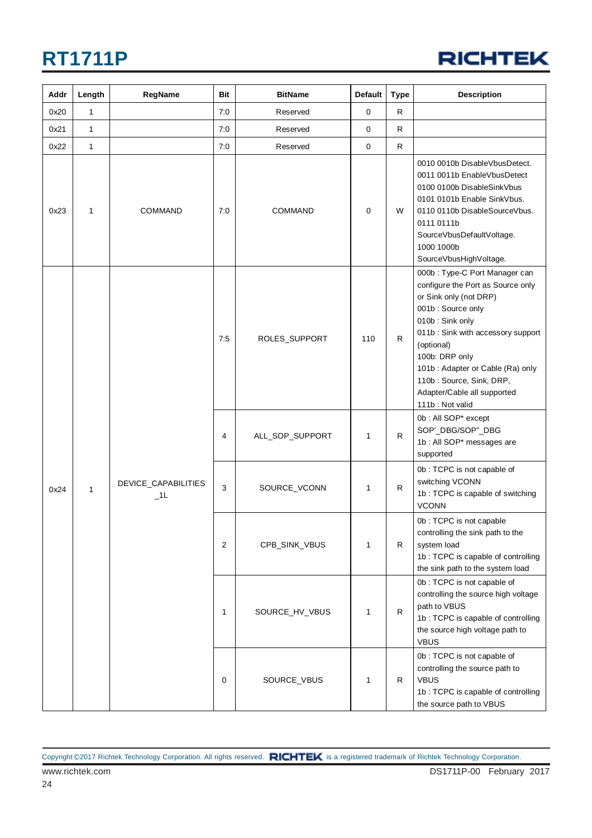

| Addr | Length       | RegName                       | Bit | <b>BitName</b>  | <b>Default</b> | <b>Type</b>  | <b>Description</b>                                                                                                                                                                                                                                                                                                          |
|------|--------------|-------------------------------|-----|-----------------|----------------|--------------|-----------------------------------------------------------------------------------------------------------------------------------------------------------------------------------------------------------------------------------------------------------------------------------------------------------------------------|
| 0x20 | $\mathbf{1}$ |                               | 7:0 | Reserved        | 0              | $\mathsf{R}$ |                                                                                                                                                                                                                                                                                                                             |
| 0x21 | $\mathbf{1}$ |                               | 7:0 | Reserved        | 0              | R.           |                                                                                                                                                                                                                                                                                                                             |
| 0x22 | $\mathbf{1}$ |                               | 7:0 | Reserved        | $\mathbf 0$    | R.           |                                                                                                                                                                                                                                                                                                                             |
| 0x23 | 1            | <b>COMMAND</b>                | 7:0 | <b>COMMAND</b>  | 0              | W            | 0010 0010b DisableVbusDetect.<br>0011 0011b EnableVbusDetect<br>0100 0100b DisableSinkVbus<br>0101 0101b Enable SinkVbus.<br>0110 0110b DisableSourceVbus.<br>0111 0111b<br>SourceVbusDefaultVoltage.<br>1000 1000b<br>SourceVbusHighVoltage.                                                                               |
|      |              |                               | 7:5 | ROLES_SUPPORT   | 110            | R            | 000b: Type-C Port Manager can<br>configure the Port as Source only<br>or Sink only (not DRP)<br>001b: Source only<br>010b: Sink only<br>011b: Sink with accessory support<br>(optional)<br>100b: DRP only<br>101b: Adapter or Cable (Ra) only<br>110b: Source, Sink, DRP,<br>Adapter/Cable all supported<br>111b: Not valid |
|      |              |                               | 4   | ALL_SOP_SUPPORT | 1              | R            | 0b: All SOP* except<br>SOP'_DBG/SOP"_DBG<br>1b : All SOP* messages are<br>supported                                                                                                                                                                                                                                         |
| 0x24 | $\mathbf{1}$ | DEVICE_CAPABILITIES<br>$\_1L$ | 3   | SOURCE_VCONN    | 1              | $\mathsf{R}$ | 0b: TCPC is not capable of<br>switching VCONN<br>1b: TCPC is capable of switching<br><b>VCONN</b>                                                                                                                                                                                                                           |
|      |              |                               | 2   | CPB_SINK_VBUS   | 1              | R            | 0b: TCPC is not capable<br>controlling the sink path to the<br>system load<br>1b: TCPC is capable of controlling<br>the sink path to the system load                                                                                                                                                                        |
|      |              |                               | 1   | SOURCE_HV_VBUS  | 1              | R            | 0b: TCPC is not capable of<br>controlling the source high voltage<br>path to VBUS<br>1b: TCPC is capable of controlling<br>the source high voltage path to<br><b>VBUS</b>                                                                                                                                                   |
|      |              |                               | 0   | SOURCE_VBUS     | 1              | R            | 0b: TCPC is not capable of<br>controlling the source path to<br><b>VBUS</b><br>1b: TCPC is capable of controlling<br>the source path to VBUS                                                                                                                                                                                |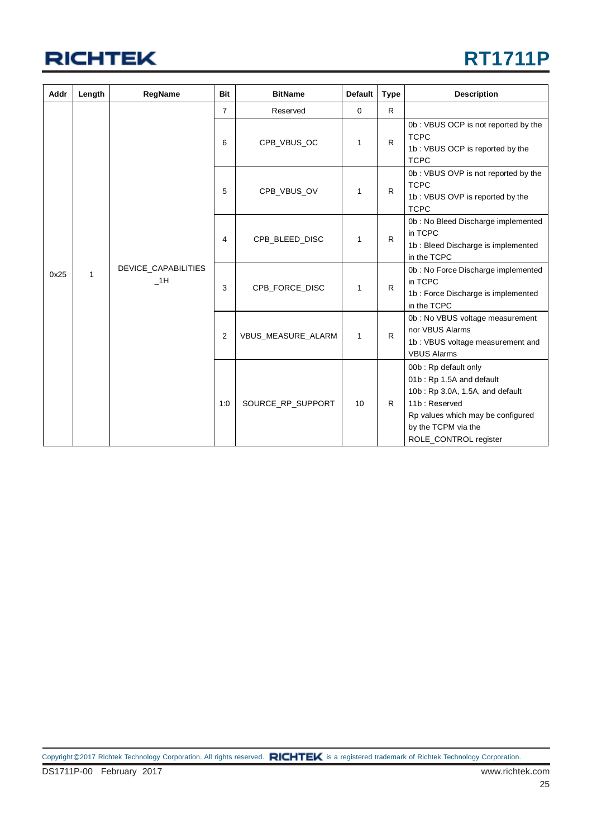

| Addr | Length | RegName                   | <b>Bit</b>     | <b>BitName</b>     | <b>Default</b> | <b>Type</b>  | <b>Description</b>                                                                                                                                                                        |
|------|--------|---------------------------|----------------|--------------------|----------------|--------------|-------------------------------------------------------------------------------------------------------------------------------------------------------------------------------------------|
|      |        |                           | $\overline{7}$ | Reserved           | 0              | R.           |                                                                                                                                                                                           |
|      |        |                           | 6              | CPB_VBUS_OC        | 1              | $\mathsf{R}$ | 0b: VBUS OCP is not reported by the<br><b>TCPC</b><br>1b: VBUS OCP is reported by the<br><b>TCPC</b>                                                                                      |
|      |        |                           | 5              | CPB VBUS OV        | 1              | R            | 0b: VBUS OVP is not reported by the<br><b>TCPC</b><br>1b: VBUS OVP is reported by the<br><b>TCPC</b>                                                                                      |
|      |        | DEVICE_CAPABILITIES<br>1H | 4              | CPB_BLEED_DISC     | 1              | R            | 0b: No Bleed Discharge implemented<br>in TCPC<br>1b : Bleed Discharge is implemented<br>in the TCPC                                                                                       |
| 0x25 | 1      |                           | 3              | CPB_FORCE_DISC     | 1              | R            | 0b: No Force Discharge implemented<br>in TCPC<br>1b : Force Discharge is implemented<br>in the TCPC                                                                                       |
|      |        |                           | $\overline{2}$ | VBUS_MEASURE_ALARM | 1              | R            | 0b: No VBUS voltage measurement<br>nor VBUS Alarms<br>1b: VBUS voltage measurement and<br><b>VBUS Alarms</b>                                                                              |
|      |        |                           | 1:0            | SOURCE RP SUPPORT  | 10             | R            | 00b: Rp default only<br>01b: Rp 1.5A and default<br>10b: Rp 3.0A, 1.5A, and default<br>11b: Reserved<br>Rp values which may be configured<br>by the TCPM via the<br>ROLE_CONTROL register |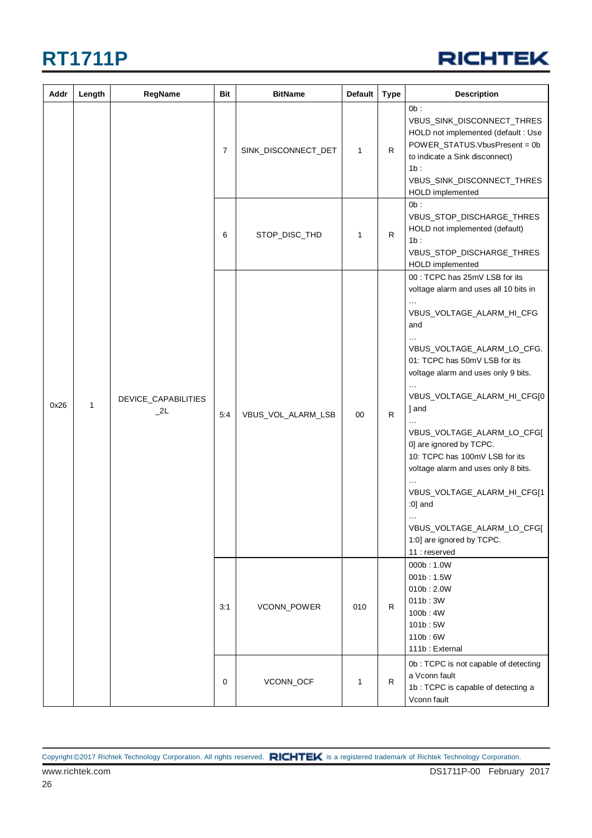

| Addr | Length | RegName                   | Bit            | <b>BitName</b>      | Default      | <b>Type</b>  | <b>Description</b>                                                                                                                                                                                                                                                                                                                                                                                                                                                                                                |
|------|--------|---------------------------|----------------|---------------------|--------------|--------------|-------------------------------------------------------------------------------------------------------------------------------------------------------------------------------------------------------------------------------------------------------------------------------------------------------------------------------------------------------------------------------------------------------------------------------------------------------------------------------------------------------------------|
|      |        |                           | $\overline{7}$ | SINK_DISCONNECT_DET | 1            | $\mathsf{R}$ | $0b$ :<br>VBUS_SINK_DISCONNECT_THRES<br>HOLD not implemented (default : Use<br>POWER_STATUS.VbusPresent = 0b<br>to indicate a Sink disconnect)<br>1b:<br>VBUS_SINK_DISCONNECT_THRES<br>HOLD implemented                                                                                                                                                                                                                                                                                                           |
|      |        |                           | 6              | STOP_DISC_THD       | 1            | R            | Ob:<br>VBUS_STOP_DISCHARGE_THRES<br>HOLD not implemented (default)<br>1b:<br>VBUS_STOP_DISCHARGE_THRES<br>HOLD implemented                                                                                                                                                                                                                                                                                                                                                                                        |
| 0x26 | 1      | DEVICE_CAPABILITIES<br>2L | 5:4            | VBUS_VOL_ALARM_LSB  | 00           | ${\sf R}$    | 00 : TCPC has 25mV LSB for its<br>voltage alarm and uses all 10 bits in<br>VBUS_VOLTAGE_ALARM_HI_CFG<br>and<br>VBUS_VOLTAGE_ALARM_LO_CFG.<br>01: TCPC has 50mV LSB for its<br>voltage alarm and uses only 9 bits.<br>VBUS_VOLTAGE_ALARM_HI_CFG[0<br>1 and<br>VBUS_VOLTAGE_ALARM_LO_CFG[<br>0] are ignored by TCPC.<br>10: TCPC has 100mV LSB for its<br>voltage alarm and uses only 8 bits.<br>VBUS_VOLTAGE_ALARM_HI_CFG[1<br>:0] and<br>VBUS_VOLTAGE_ALARM_LO_CFG[<br>1:0] are ignored by TCPC.<br>11 : reserved |
|      |        |                           | 3:1            | VCONN_POWER         | 010          | $\mathsf{R}$ | 000b: 1.0W<br>001b: 1.5W<br>010b:2.0W<br>011b:3W<br>100b: 4W<br>101b:5W<br>110b:6W<br>111b: External                                                                                                                                                                                                                                                                                                                                                                                                              |
|      |        |                           | 0              | VCONN_OCF           | $\mathbf{1}$ | $\mathsf{R}$ | 0b: TCPC is not capable of detecting<br>a Vconn fault<br>1b: TCPC is capable of detecting a<br>Vconn fault                                                                                                                                                                                                                                                                                                                                                                                                        |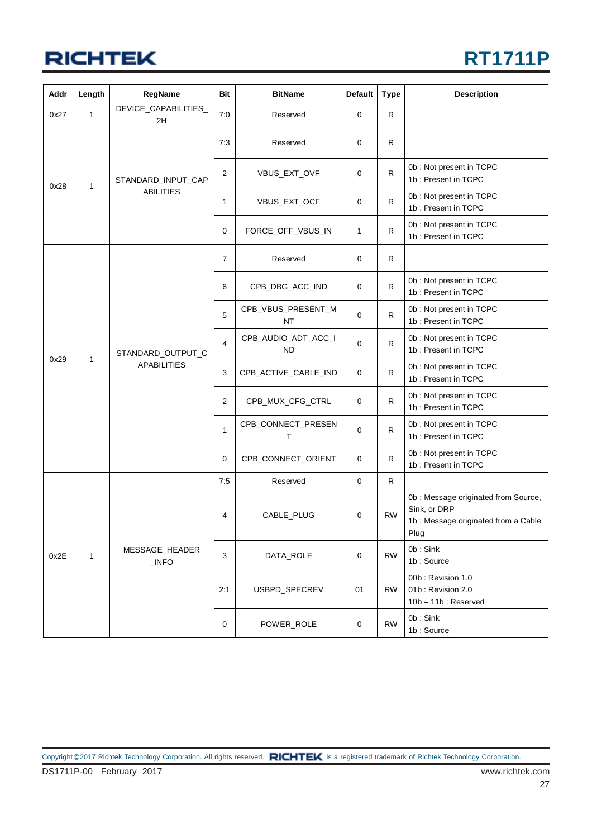#### **RT1711P**

| Addr | Length       | RegName                                    | <b>Bit</b>      | <b>BitName</b>                   | Default     | <b>Type</b>                                     | <b>Description</b>                                                                                 |
|------|--------------|--------------------------------------------|-----------------|----------------------------------|-------------|-------------------------------------------------|----------------------------------------------------------------------------------------------------|
| 0x27 | 1            | DEVICE_CAPABILITIES_<br>2H                 | 7:0             | Reserved                         | 0           | R                                               |                                                                                                    |
|      |              |                                            | 7:3             | Reserved                         | 0           | R                                               |                                                                                                    |
| 0x28 | $\mathbf{1}$ | STANDARD_INPUT_CAP                         | 2               | VBUS_EXT_OVF                     | $\mathbf 0$ | R.                                              | 0b : Not present in TCPC<br>1b: Present in TCPC                                                    |
|      |              | <b>ABILITIES</b>                           | 1               | VBUS_EXT_OCF                     | 0           | $\mathsf{R}$                                    | 0b: Not present in TCPC<br>1b: Present in TCPC                                                     |
|      |              |                                            | 0               | FORCE_OFF_VBUS_IN                | 1           | R                                               | 0b : Not present in TCPC<br>1b: Present in TCPC                                                    |
|      |              |                                            | $\overline{7}$  | Reserved                         | 0           | R                                               |                                                                                                    |
|      |              | 6                                          | CPB_DBG_ACC_IND | 0                                | R           | 0b : Not present in TCPC<br>1b: Present in TCPC |                                                                                                    |
|      |              | STANDARD_OUTPUT_C<br><b>APABILITIES</b>    | 5               | CPB_VBUS_PRESENT_M<br>NT         | 0           | $\mathsf{R}$                                    | 0b : Not present in TCPC<br>1b: Present in TCPC                                                    |
|      | 1            |                                            | $\overline{4}$  | CPB_AUDIO_ADT_ACC_I<br><b>ND</b> | 0           | R                                               | 0b : Not present in TCPC<br>1b: Present in TCPC                                                    |
| 0x29 |              |                                            | 3               | CPB_ACTIVE_CABLE_IND             | 0           | R                                               | 0b: Not present in TCPC<br>1b: Present in TCPC                                                     |
|      |              |                                            | 2               | CPB_MUX_CFG_CTRL                 | 0           | R                                               | 0b: Not present in TCPC<br>1b: Present in TCPC                                                     |
|      |              |                                            | $\mathbf{1}$    | CPB_CONNECT_PRESEN<br>Т          | 0           | $\mathsf{R}$                                    | 0b: Not present in TCPC<br>1b: Present in TCPC                                                     |
|      |              |                                            | $\mathbf 0$     | CPB_CONNECT_ORIENT               | 0           | $\mathsf{R}$                                    | 0b: Not present in TCPC<br>1b: Present in TCPC                                                     |
|      |              |                                            | 7:5             | Reserved                         | $\mathbf 0$ | $\mathsf{R}$                                    |                                                                                                    |
| 0x2E |              |                                            | 4               | CABLE_PLUG                       | 0           | <b>RW</b>                                       | 0b: Message originated from Source,<br>Sink, or DRP<br>1b: Message originated from a Cable<br>Plug |
|      | $\mathbf{1}$ | MESSAGE_HEADER<br>$\underline{\quad}$ INFO | 3               | DATA_ROLE                        | 0           | <b>RW</b>                                       | 0b: Sink<br>1b: Source                                                                             |
|      |              |                                            | 2:1             | USBPD_SPECREV                    | 01          | <b>RW</b>                                       | 00b: Revision 1.0<br>01b: Revision 2.0<br>$10b - 11b$ : Reserved                                   |
|      |              |                                            | 0               | POWER_ROLE                       | 0           | <b>RW</b>                                       | 0b: Sink<br>1b: Source                                                                             |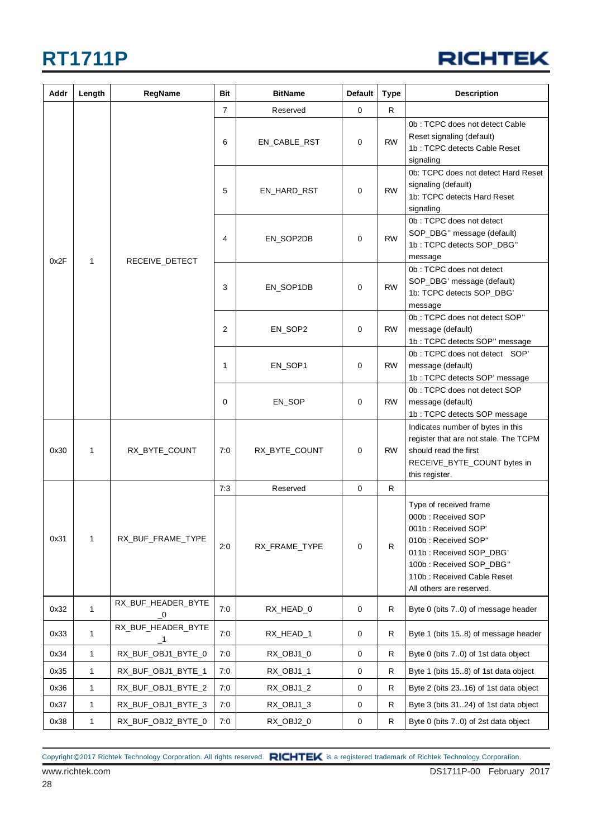#### **RICHTEK**

| Addr | Length       | RegName                                       | Bit            | <b>BitName</b> | <b>Default</b> | <b>Type</b> | <b>Description</b>                                                                                                                                                                                         |
|------|--------------|-----------------------------------------------|----------------|----------------|----------------|-------------|------------------------------------------------------------------------------------------------------------------------------------------------------------------------------------------------------------|
|      |              |                                               | $\overline{7}$ | Reserved       | 0              | R           |                                                                                                                                                                                                            |
|      |              |                                               | 6              | EN_CABLE_RST   | 0              | <b>RW</b>   | 0b: TCPC does not detect Cable<br>Reset signaling (default)<br>1b: TCPC detects Cable Reset<br>signaling                                                                                                   |
|      |              |                                               | 5              | EN_HARD_RST    | 0              | <b>RW</b>   | 0b: TCPC does not detect Hard Reset<br>signaling (default)<br>1b: TCPC detects Hard Reset<br>signaling                                                                                                     |
| 0x2F | 1            | RECEIVE_DETECT                                | 4              | EN_SOP2DB      | $\mathbf 0$    | <b>RW</b>   | 0b: TCPC does not detect<br>SOP_DBG" message (default)<br>1b: TCPC detects SOP_DBG"<br>message                                                                                                             |
|      |              |                                               | 3              | EN_SOP1DB      | 0              | <b>RW</b>   | 0b: TCPC does not detect<br>SOP_DBG' message (default)<br>1b: TCPC detects SOP_DBG'<br>message                                                                                                             |
|      |              |                                               | 2              | EN_SOP2        | 0              | <b>RW</b>   | 0b: TCPC does not detect SOP"<br>message (default)<br>1b: TCPC detects SOP" message                                                                                                                        |
|      |              |                                               | 1              | EN_SOP1        | 0              | <b>RW</b>   | 0b: TCPC does not detect SOP'<br>message (default)<br>1b: TCPC detects SOP' message                                                                                                                        |
|      |              |                                               | 0              | EN_SOP         | 0              | <b>RW</b>   | 0b: TCPC does not detect SOP<br>message (default)<br>1b: TCPC detects SOP message                                                                                                                          |
| 0x30 | 1            | RX_BYTE_COUNT                                 | 7:0            | RX_BYTE_COUNT  | 0              | <b>RW</b>   | Indicates number of bytes in this<br>register that are not stale. The TCPM<br>should read the first<br>RECEIVE_BYTE_COUNT bytes in<br>this register.                                                       |
|      |              |                                               | 7:3            | Reserved       | 0              | R.          |                                                                                                                                                                                                            |
| 0x31 | 1            | RX_BUF_FRAME_TYPE                             | 2:0            | RX_FRAME_TYPE  | 0              | R           | Type of received frame<br>000b: Received SOP<br>001b: Received SOP'<br>010b: Received SOP"<br>011b: Received SOP_DBG'<br>100b: Received SOP_DBG"<br>110b: Received Cable Reset<br>All others are reserved. |
| 0x32 | 1            | RX_BUF_HEADER_BYTE<br>$\overline{\mathbf{0}}$ | 7:0            | RX_HEAD_0      | 0              | R           | Byte 0 (bits 70) of message header                                                                                                                                                                         |
| 0x33 | 1            | RX_BUF_HEADER_BYTE<br>1                       | 7:0            | RX_HEAD_1      | $\mathbf 0$    | R           | Byte 1 (bits 15.8) of message header                                                                                                                                                                       |
| 0x34 | $\mathbf{1}$ | RX_BUF_OBJ1_BYTE_0                            | 7:0            | RX_OBJ1_0      | $\mathbf 0$    | R           | Byte 0 (bits 70) of 1st data object                                                                                                                                                                        |
| 0x35 | 1            | RX_BUF_OBJ1_BYTE_1                            | 7:0            | RX_OBJ1_1      | 0              | R           | Byte 1 (bits 15.8) of 1st data object                                                                                                                                                                      |
| 0x36 | $\mathbf{1}$ | RX_BUF_OBJ1_BYTE_2                            | 7:0            | RX_OBJ1_2      | 0              | R           | Byte 2 (bits 23.16) of 1st data object                                                                                                                                                                     |
| 0x37 | 1            | RX_BUF_OBJ1_BYTE_3                            | 7:0            | RX_OBJ1_3      | 0              | R           | Byte 3 (bits 3124) of 1st data object                                                                                                                                                                      |
| 0x38 | 1            | RX_BUF_OBJ2_BYTE_0                            | 7:0            | RX_OBJ2_0      | $\pmb{0}$      | R           | Byte 0 (bits 70) of 2st data object                                                                                                                                                                        |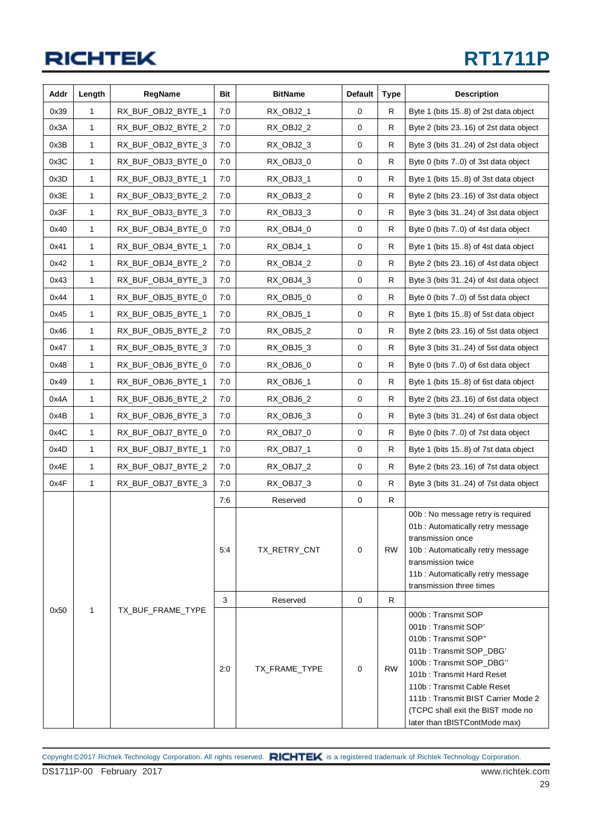### **RT1711P**

| Addr | Length | RegName            | Bit | <b>BitName</b> | <b>Default</b> | <b>Type</b> | <b>Description</b>                                                                                                                                                                                                                                                                            |
|------|--------|--------------------|-----|----------------|----------------|-------------|-----------------------------------------------------------------------------------------------------------------------------------------------------------------------------------------------------------------------------------------------------------------------------------------------|
| 0x39 | 1      | RX_BUF_OBJ2_BYTE_1 | 7:0 | RX_OBJ2_1      | 0              | R           | Byte 1 (bits 158) of 2st data object                                                                                                                                                                                                                                                          |
| 0x3A | 1      | RX_BUF_OBJ2_BYTE_2 | 7:0 | RX_OBJ2_2      | 0              | R           | Byte 2 (bits 2316) of 2st data object                                                                                                                                                                                                                                                         |
| 0x3B | 1      | RX_BUF_OBJ2_BYTE_3 | 7:0 | RX_OBJ2_3      | 0              | R           | Byte 3 (bits 3124) of 2st data object                                                                                                                                                                                                                                                         |
| 0x3C | 1      | RX_BUF_OBJ3_BYTE_0 | 7:0 | RX_OBJ3_0      | 0              | R           | Byte 0 (bits 70) of 3st data object                                                                                                                                                                                                                                                           |
| 0x3D | 1      | RX_BUF_OBJ3_BYTE_1 | 7:0 | RX_OBJ3_1      | 0              | R           | Byte 1 (bits 15.8) of 3st data object                                                                                                                                                                                                                                                         |
| 0x3E | 1      | RX_BUF_OBJ3_BYTE_2 | 7:0 | RX_OBJ3_2      | 0              | R           | Byte 2 (bits 2316) of 3st data object                                                                                                                                                                                                                                                         |
| 0x3F | 1      | RX_BUF_OBJ3_BYTE_3 | 7:0 | RX_OBJ3_3      | 0              | R           | Byte 3 (bits 3124) of 3st data object                                                                                                                                                                                                                                                         |
| 0x40 | 1      | RX_BUF_OBJ4_BYTE_0 | 7:0 | RX_OBJ4_0      | 0              | R           | Byte 0 (bits 7.0) of 4st data object                                                                                                                                                                                                                                                          |
| 0x41 | 1      | RX_BUF_OBJ4_BYTE_1 | 7:0 | RX_OBJ4_1      | 0              | R           | Byte 1 (bits 15.8) of 4st data object                                                                                                                                                                                                                                                         |
| 0x42 | 1      | RX_BUF_OBJ4_BYTE_2 | 7:0 | RX_OBJ4_2      | 0              | R           | Byte 2 (bits 2316) of 4st data object                                                                                                                                                                                                                                                         |
| 0x43 | 1      | RX_BUF_OBJ4_BYTE_3 | 7:0 | RX_OBJ4_3      | 0              | R           | Byte 3 (bits 3124) of 4st data object                                                                                                                                                                                                                                                         |
| 0x44 | 1      | RX_BUF_OBJ5_BYTE_0 | 7:0 | RX_OBJ5_0      | 0              | R           | Byte 0 (bits 70) of 5st data object                                                                                                                                                                                                                                                           |
| 0x45 | 1      | RX_BUF_OBJ5_BYTE_1 | 7:0 | RX_OBJ5_1      | 0              | R           | Byte 1 (bits 15.8) of 5st data object                                                                                                                                                                                                                                                         |
| 0x46 | 1      | RX_BUF_OBJ5_BYTE_2 | 7:0 | RX_OBJ5_2      | 0              | R           | Byte 2 (bits 2316) of 5st data object                                                                                                                                                                                                                                                         |
| 0x47 | 1      | RX BUF OBJ5 BYTE 3 | 7:0 | RX_OBJ5_3      | 0              | R           | Byte 3 (bits 3124) of 5st data object                                                                                                                                                                                                                                                         |
| 0x48 | 1      | RX_BUF_OBJ6_BYTE_0 | 7:0 | RX_OBJ6_0      | 0              | R           | Byte 0 (bits 7.0) of 6st data object                                                                                                                                                                                                                                                          |
| 0x49 | 1      | RX_BUF_OBJ6_BYTE_1 | 7:0 | RX_OBJ6_1      | 0              | R           | Byte 1 (bits 15.8) of 6st data object                                                                                                                                                                                                                                                         |
| 0x4A | 1      | RX_BUF_OBJ6_BYTE_2 | 7:0 | RX_OBJ6_2      | 0              | R           | Byte 2 (bits 2316) of 6st data object                                                                                                                                                                                                                                                         |
| 0x4B | 1      | RX_BUF_OBJ6_BYTE_3 | 7:0 | RX_OBJ6_3      | 0              | R           | Byte 3 (bits 3124) of 6st data object                                                                                                                                                                                                                                                         |
| 0x4C | 1      | RX_BUF_OBJ7_BYTE_0 | 7:0 | RX_OBJ7_0      | 0              | ${\sf R}$   | Byte 0 (bits 7.0) of 7st data object                                                                                                                                                                                                                                                          |
| 0x4D | 1      | RX_BUF_OBJ7_BYTE_1 | 7:0 | RX_OBJ7_1      | 0              | R           | Byte 1 (bits 15.8) of 7st data object                                                                                                                                                                                                                                                         |
| 0x4E | 1      | RX_BUF_OBJ7_BYTE_2 | 7:0 | RX_OBJ7_2      | 0              | R           | Byte 2 (bits 2316) of 7st data object                                                                                                                                                                                                                                                         |
| 0x4F | 1      | RX_BUF_OBJ7_BYTE_3 | 7:0 | RX OBJ7 3      | 0              | R           | Byte 3 (bits 3124) of 7st data object                                                                                                                                                                                                                                                         |
|      |        |                    | 7:6 | Reserved       | 0              | R           |                                                                                                                                                                                                                                                                                               |
|      |        |                    | 5:4 | TX_RETRY_CNT   | 0              | <b>RW</b>   | 00b : No message retry is required<br>01b: Automatically retry message<br>transmission once<br>10b: Automatically retry message<br>transmission twice<br>11b: Automatically retry message<br>transmission three times                                                                         |
|      |        |                    | 3   | Reserved       | 0              | R.          |                                                                                                                                                                                                                                                                                               |
| 0x50 | 1      | TX_BUF_FRAME_TYPE  | 2:0 | TX_FRAME_TYPE  | 0              | <b>RW</b>   | 000b: Transmit SOP<br>001b: Transmit SOP'<br>010b: Transmit SOP"<br>011b: Transmit SOP_DBG'<br>100b: Transmit SOP_DBG"<br>101b: Transmit Hard Reset<br>110b: Transmit Cable Reset<br>111b: Transmit BIST Carrier Mode 2<br>(TCPC shall exit the BIST mode no<br>later than tBISTContMode max) |

DS1711P-00 February 2017 www.richtek.com Copyright ©2017 Richtek Technology Corporation. All rights reserved. RICHTEK is a registered trademark of Richtek Technology Corporation.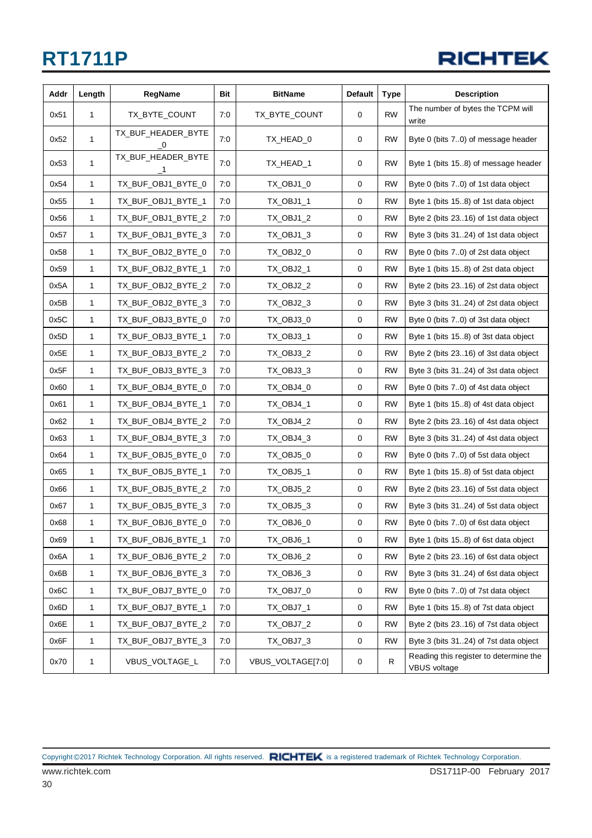

| Addr | Length       | RegName                                          | Bit | <b>BitName</b>    | <b>Default</b> | <b>Type</b> | <b>Description</b>                                            |
|------|--------------|--------------------------------------------------|-----|-------------------|----------------|-------------|---------------------------------------------------------------|
| 0x51 | 1            | TX_BYTE_COUNT                                    | 7:0 | TX_BYTE_COUNT     | 0              | <b>RW</b>   | The number of bytes the TCPM will<br>write                    |
| 0x52 | 1            | TX_BUF_HEADER_BYTE<br>$\overline{\phantom{0}}^0$ | 7:0 | TX_HEAD_0         | 0              | <b>RW</b>   | Byte 0 (bits 70) of message header                            |
| 0x53 | $\mathbf{1}$ | TX_BUF_HEADER_BYTE<br>$\mathbf{1}$               | 7:0 | TX_HEAD_1         | $\mathbf 0$    | <b>RW</b>   | Byte 1 (bits 15.8) of message header                          |
| 0x54 | 1            | TX_BUF_OBJ1_BYTE_0                               | 7:0 | TX_OBJ1_0         | 0              | <b>RW</b>   | Byte 0 (bits 7.0) of 1st data object                          |
| 0x55 | 1            | TX_BUF_OBJ1_BYTE_1                               | 7:0 | TX_OBJ1_1         | 0              | <b>RW</b>   | Byte 1 (bits 15.8) of 1st data object                         |
| 0x56 | 1            | TX_BUF_OBJ1_BYTE_2                               | 7:0 | TX_OBJ1_2         | 0              | <b>RW</b>   | Byte 2 (bits 2316) of 1st data object                         |
| 0x57 | 1            | TX_BUF_OBJ1_BYTE_3                               | 7:0 | TX_OBJ1_3         | 0              | <b>RW</b>   | Byte 3 (bits 3124) of 1st data object                         |
| 0x58 | 1            | TX_BUF_OBJ2_BYTE_0                               | 7:0 | TX_OBJ2_0         | 0              | <b>RW</b>   | Byte 0 (bits 70) of 2st data object                           |
| 0x59 | 1            | TX_BUF_OBJ2_BYTE_1                               | 7:0 | TX_OBJ2_1         | 0              | <b>RW</b>   | Byte 1 (bits 15.8) of 2st data object                         |
| 0x5A | 1            | TX_BUF_OBJ2_BYTE_2                               | 7:0 | TX_OBJ2_2         | $\mathbf 0$    | <b>RW</b>   | Byte 2 (bits 2316) of 2st data object                         |
| 0x5B | 1            | TX_BUF_OBJ2_BYTE_3                               | 7:0 | TX_OBJ2_3         | 0              | <b>RW</b>   | Byte 3 (bits 3124) of 2st data object                         |
| 0x5C | 1            | TX_BUF_OBJ3_BYTE_0                               | 7:0 | TX_OBJ3_0         | 0              | <b>RW</b>   | Byte 0 (bits 70) of 3st data object                           |
| 0x5D | 1            | TX_BUF_OBJ3_BYTE_1                               | 7:0 | TX_OBJ3_1         | 0              | <b>RW</b>   | Byte 1 (bits 15.8) of 3st data object                         |
| 0x5E | 1            | TX_BUF_OBJ3_BYTE_2                               | 7:0 | TX_OBJ3_2         | 0              | <b>RW</b>   | Byte 2 (bits 2316) of 3st data object                         |
| 0x5F | $\mathbf{1}$ | TX_BUF_OBJ3_BYTE_3                               | 7:0 | TX_OBJ3_3         | 0              | <b>RW</b>   | Byte 3 (bits 3124) of 3st data object                         |
| 0x60 | 1            | TX_BUF_OBJ4_BYTE_0                               | 7:0 | TX_OBJ4_0         | 0              | <b>RW</b>   | Byte 0 (bits 70) of 4st data object                           |
| 0x61 | 1            | TX_BUF_OBJ4_BYTE_1                               | 7:0 | TX_OBJ4_1         | 0              | <b>RW</b>   | Byte 1 (bits 15.8) of 4st data object                         |
| 0x62 | 1            | TX_BUF_OBJ4_BYTE_2                               | 7:0 | TX_OBJ4_2         | 0              | <b>RW</b>   | Byte 2 (bits 2316) of 4st data object                         |
| 0x63 | 1            | TX_BUF_OBJ4_BYTE_3                               | 7:0 | TX_OBJ4_3         | 0              | <b>RW</b>   | Byte 3 (bits 3124) of 4st data object                         |
| 0x64 | $\mathbf{1}$ | TX_BUF_OBJ5_BYTE_0                               | 7:0 | TX_OBJ5_0         | 0              | <b>RW</b>   | Byte 0 (bits 7.0) of 5st data object                          |
| 0x65 | 1            | TX_BUF_OBJ5_BYTE_1                               | 7:0 | TX_OBJ5_1         | 0              | <b>RW</b>   | Byte 1 (bits 15.8) of 5st data object                         |
| 0x66 | 1            | TX_BUF_OBJ5_BYTE_2                               | 7:0 | TX_OBJ5_2         | 0              | <b>RW</b>   | Byte 2 (bits 2316) of 5st data object                         |
| 0x67 | 1            | TX_BUF_OBJ5_BYTE_3                               | 7:0 | TX_OBJ5_3         | 0              | <b>RW</b>   | Byte 3 (bits 3124) of 5st data object                         |
| 0x68 | 1            | TX_BUF_OBJ6_BYTE_0                               | 7:0 | TX_OBJ6_0         | 0              | RW          | Byte 0 (bits 70) of 6st data object                           |
| 0x69 | 1            | TX_BUF_OBJ6_BYTE_1                               | 7:0 | TX_OBJ6_1         | 0              | <b>RW</b>   | Byte 1 (bits 158) of 6st data object                          |
| 0x6A | $\mathbf{1}$ | TX_BUF_OBJ6_BYTE_2                               | 7:0 | TX_OBJ6_2         | $\mathbf 0$    | <b>RW</b>   | Byte 2 (bits 2316) of 6st data object                         |
| 0x6B | $\mathbf{1}$ | TX_BUF_OBJ6_BYTE_3                               | 7:0 | TX_OBJ6_3         | 0              | <b>RW</b>   | Byte 3 (bits 3124) of 6st data object                         |
| 0x6C | 1            | TX_BUF_OBJ7_BYTE_0                               | 7:0 | TX_OBJ7_0         | 0              | <b>RW</b>   | Byte 0 (bits 70) of 7st data object                           |
| 0x6D | 1            | TX_BUF_OBJ7_BYTE_1                               | 7:0 | TX_OBJ7_1         | 0              | <b>RW</b>   | Byte 1 (bits 15.8) of 7st data object                         |
| 0x6E | 1            | TX_BUF_OBJ7_BYTE_2                               | 7:0 | TX_OBJ7_2         | 0              | <b>RW</b>   | Byte 2 (bits 2316) of 7st data object                         |
| 0x6F | 1            | TX_BUF_OBJ7_BYTE_3                               | 7:0 | TX_OBJ7_3         | $\pmb{0}$      | <b>RW</b>   | Byte 3 (bits 3124) of 7st data object                         |
| 0x70 | 1            | VBUS_VOLTAGE_L                                   | 7:0 | VBUS_VOLTAGE[7:0] | 0              | R           | Reading this register to determine the<br><b>VBUS</b> voltage |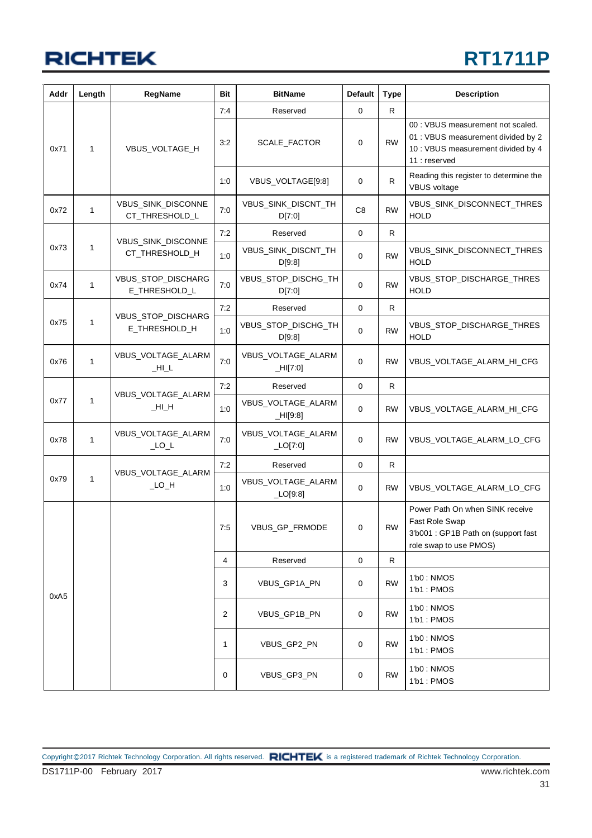## **RT1711P**

| Addr | Length       | RegName                              | Bit | <b>BitName</b>                   | <b>Default</b> | <b>Type</b> | <b>Description</b>                                                                                                             |
|------|--------------|--------------------------------------|-----|----------------------------------|----------------|-------------|--------------------------------------------------------------------------------------------------------------------------------|
|      |              |                                      | 7:4 | Reserved                         | 0              | R           |                                                                                                                                |
| 0x71 | $\mathbf{1}$ | VBUS_VOLTAGE_H                       | 3:2 | SCALE_FACTOR                     | 0              | <b>RW</b>   | 00 : VBUS measurement not scaled.<br>01 : VBUS measurement divided by 2<br>10 : VBUS measurement divided by 4<br>11 : reserved |
|      |              |                                      | 1:0 | VBUS_VOLTAGE[9:8]                | 0              | R           | Reading this register to determine the<br>VBUS voltage                                                                         |
| 0x72 | 1            | VBUS_SINK_DISCONNE<br>CT_THRESHOLD_L | 7:0 | VBUS_SINK_DISCNT_TH<br>D[7:0]    | C <sub>8</sub> | <b>RW</b>   | VBUS_SINK_DISCONNECT_THRES<br><b>HOLD</b>                                                                                      |
|      |              |                                      | 7:2 | Reserved                         | 0              | R           |                                                                                                                                |
| 0x73 | 1            | VBUS_SINK_DISCONNE<br>CT_THRESHOLD_H | 1:0 | VBUS_SINK_DISCNT_TH<br>D[9:8]    | 0              | <b>RW</b>   | VBUS_SINK_DISCONNECT_THRES<br><b>HOLD</b>                                                                                      |
| 0x74 | $\mathbf{1}$ | VBUS_STOP_DISCHARG<br>E_THRESHOLD_L  | 7:0 | VBUS_STOP_DISCHG_TH<br>D[7:0]    | 0              | <b>RW</b>   | VBUS_STOP_DISCHARGE_THRES<br><b>HOLD</b>                                                                                       |
|      |              |                                      | 7:2 | Reserved                         | 0              | R           |                                                                                                                                |
| 0x75 | $\mathbf{1}$ | VBUS_STOP_DISCHARG<br>E_THRESHOLD_H  | 1:0 | VBUS_STOP_DISCHG_TH<br>D[9:8]    | 0              | <b>RW</b>   | VBUS_STOP_DISCHARGE_THRES<br><b>HOLD</b>                                                                                       |
| 0x76 | $\mathbf{1}$ | VBUS_VOLTAGE_ALARM<br>$_HL$          | 7:0 | VBUS_VOLTAGE_ALARM<br>$-HI[7:0]$ | 0              | <b>RW</b>   | VBUS_VOLTAGE_ALARM_HI_CFG                                                                                                      |
|      |              | VBUS_VOLTAGE_ALARM                   | 7:2 | Reserved                         | 0              | R.          |                                                                                                                                |
| 0x77 | 1            | H <sub>1</sub> H <sub>2</sub>        | 1:0 | VBUS_VOLTAGE_ALARM<br>$-HI[9:8]$ | 0              | RW          | VBUS_VOLTAGE_ALARM_HI_CFG                                                                                                      |
| 0x78 | 1            | VBUS_VOLTAGE_ALARM<br>$\_LO\_L$      | 7:0 | VBUS_VOLTAGE_ALARM<br>LO[7:0]    | 0              | <b>RW</b>   | VBUS_VOLTAGE_ALARM_LO_CFG                                                                                                      |
|      |              |                                      | 7:2 | Reserved                         | 0              | R           |                                                                                                                                |
| 0x79 | 1            | VBUS_VOLTAGE_ALARM<br>$\_LO$ $\_H$   | 1:0 | VBUS_VOLTAGE_ALARM<br>LO[9:8]    | 0              | <b>RW</b>   | VBUS_VOLTAGE_ALARM_LO_CFG                                                                                                      |
|      |              |                                      | 7:5 | VBUS_GP_FRMODE                   | 0              | <b>RW</b>   | Power Path On when SINK receive<br>Fast Role Swap<br>3'b001 : GP1B Path on (support fast<br>role swap to use PMOS)             |
|      |              |                                      | 4   | Reserved                         | $\pmb{0}$      | R           |                                                                                                                                |
| 0xA5 |              |                                      | 3   | VBUS_GP1A_PN                     | 0              | <b>RW</b>   | 1'b0 : NMOS<br>1'b1: PMOS                                                                                                      |
|      |              |                                      | 2   | VBUS GP1B PN                     | 0              | <b>RW</b>   | 1'b0: NMOS<br>1'b1: PMOS                                                                                                       |
|      |              |                                      | 1   | VBUS_GP2_PN                      | 0              | <b>RW</b>   | 1'b0 : NMOS<br>1'b1 : PMOS                                                                                                     |
|      |              |                                      | 0   | VBUS_GP3_PN                      | 0              | <b>RW</b>   | 1'b0: NMOS<br>1'b1: PMOS                                                                                                       |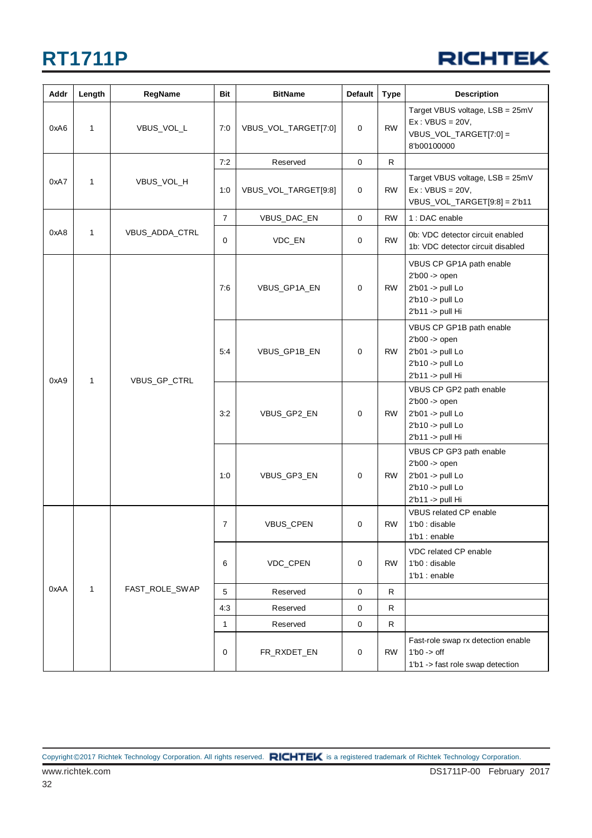

| Addr | Length | RegName        | Bit            | <b>BitName</b>       | Default     | <b>Type</b> | <b>Description</b>                                                                                     |
|------|--------|----------------|----------------|----------------------|-------------|-------------|--------------------------------------------------------------------------------------------------------|
| 0xA6 | 1      | VBUS_VOL_L     | 7:0            | VBUS_VOL_TARGET[7:0] | 0           | <b>RW</b>   | Target VBUS voltage, LSB = 25mV<br>$Ex:VBUS = 20V,$<br>VBUS_VOL_TARGET[7:0] =<br>8'b00100000           |
|      |        |                | 7:2            | Reserved             | $\pmb{0}$   | R.          |                                                                                                        |
| 0xA7 | 1      | VBUS_VOL_H     | 1:0            | VBUS_VOL_TARGET[9:8] | 0           | <b>RW</b>   | Target VBUS voltage, LSB = 25mV<br>$Ex:VBUS = 20V,$<br>$VBUS_VOL_TARGET[9:8] = 2'b11$                  |
|      |        |                | $\overline{7}$ | VBUS_DAC_EN          | $\mathbf 0$ | <b>RW</b>   | 1 : DAC enable                                                                                         |
| 0xA8 | 1      | VBUS_ADDA_CTRL | 0              | VDC_EN               | 0           | <b>RW</b>   | 0b: VDC detector circuit enabled<br>1b: VDC detector circuit disabled                                  |
|      |        |                | 7:6            | VBUS_GP1A_EN         | 0           | <b>RW</b>   | VBUS CP GP1A path enable<br>2'b00 -> open<br>2'b01 -> pull Lo<br>2'b10 -> pull Lo<br>2'b11 -> pull Hi  |
|      | 1      | VBUS_GP_CTRL   | 5:4            | VBUS_GP1B_EN         | 0           | RW          | VBUS CP GP1B path enable<br>$2b00$ -> open<br>2'b01 -> pull Lo<br>2'b10 -> pull Lo<br>2'b11 -> pull Hi |
| 0xA9 |        |                | 3:2            | VBUS_GP2_EN          | 0           | <b>RW</b>   | VBUS CP GP2 path enable<br>$2b00$ -> open<br>2'b01 -> pull Lo<br>2'b10 -> pull Lo<br>2'b11 -> pull Hi  |
|      |        |                | 1:0            | VBUS_GP3_EN          | 0           | <b>RW</b>   | VBUS CP GP3 path enable<br>$2b00$ -> open<br>2'b01 -> pull Lo<br>2'b10 -> pull Lo<br>2'b11 -> pull Hi  |
|      |        |                | $\overline{7}$ | VBUS_CPEN            | 0           | <b>RW</b>   | VBUS related CP enable<br>1'b0 : disable<br>1'b1 : enable                                              |
|      |        |                | 6              | VDC_CPEN             | 0           | <b>RW</b>   | VDC related CP enable<br>1'b0 : disable<br>1'b1 : enable                                               |
| 0xAA | 1      | FAST_ROLE_SWAP | 5              | Reserved             | $\mathbf 0$ | R           |                                                                                                        |
|      |        |                | 4:3            | Reserved             | 0           | R           |                                                                                                        |
|      |        |                | $\mathbf{1}$   | Reserved             | $\mathbf 0$ | R           |                                                                                                        |
|      |        |                | 0              | FR_RXDET_EN          | 0           | <b>RW</b>   | Fast-role swap rx detection enable<br>$1'b0 \rightarrow off$<br>1'b1 -> fast role swap detection       |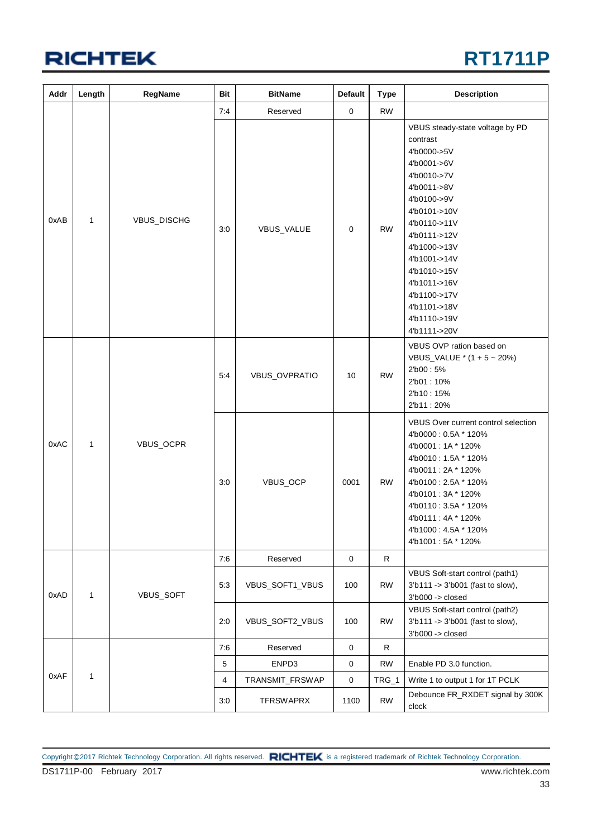

| Addr | Length       | RegName     | <b>Bit</b>    | <b>BitName</b>   | Default     | <b>Type</b>                                                                                               | <b>Description</b>                                                                                                                                                                                                                                                                                     |
|------|--------------|-------------|---------------|------------------|-------------|-----------------------------------------------------------------------------------------------------------|--------------------------------------------------------------------------------------------------------------------------------------------------------------------------------------------------------------------------------------------------------------------------------------------------------|
|      |              |             | 7:4           | Reserved         | $\mathbf 0$ | <b>RW</b>                                                                                                 |                                                                                                                                                                                                                                                                                                        |
| 0xAB | $\mathbf{1}$ | VBUS_DISCHG | 3:0           | VBUS_VALUE       | 0           | <b>RW</b>                                                                                                 | VBUS steady-state voltage by PD<br>contrast<br>4'b0000->5V<br>4'b0001->6V<br>4'b0010->7V<br>4'b0011->8V<br>4'b0100->9V<br>4'b0101->10V<br>4'b0110->11V<br>4'b0111->12V<br>4'b1000->13V<br>4'b1001->14V<br>4'b1010->15V<br>4'b1011->16V<br>4'b1100->17V<br>4'b1101->18V<br>4'b1110->19V<br>4'b1111->20V |
|      |              | 5:4         | VBUS_OVPRATIO | 10               | <b>RW</b>   | VBUS OVP ration based on<br>VBUS_VALUE * (1 + 5 ~ 20%)<br>2'b00:5%<br>2'b01:10%<br>2'b10:15%<br>2'b11:20% |                                                                                                                                                                                                                                                                                                        |
| 0xAC | $\mathbf{1}$ | VBUS_OCPR   | 3:0           | VBUS_OCP         | 0001        | <b>RW</b>                                                                                                 | VBUS Over current control selection<br>4'b0000: 0.5A * 120%<br>4'b0001:1A * 120%<br>4'b0010: 1.5A * 120%<br>4'b0011:2A * 120%<br>4'b0100: 2.5A * 120%<br>4'b0101:3A * 120%<br>4'b0110: 3.5A * 120%<br>4'b0111:4A * 120%<br>4'b1000: 4.5A * 120%<br>4'b1001:5A * 120%                                   |
|      |              |             | 7:6           | Reserved         | $\mathsf 0$ | R                                                                                                         |                                                                                                                                                                                                                                                                                                        |
| 0xAD | $\mathbf{1}$ | VBUS_SOFT   | 5:3           | VBUS_SOFT1_VBUS  | 100         | <b>RW</b>                                                                                                 | VBUS Soft-start control (path1)<br>3'b111 -> 3'b001 (fast to slow),<br>$3'$ b $000 \rightarrow$ closed                                                                                                                                                                                                 |
|      |              |             | 2:0           | VBUS_SOFT2_VBUS  | 100         | <b>RW</b>                                                                                                 | VBUS Soft-start control (path2)<br>3'b111 -> 3'b001 (fast to slow),<br>$3'$ b $000 \rightarrow$ closed                                                                                                                                                                                                 |
|      |              |             | 7:6           | Reserved         | 0           | $\mathsf{R}$                                                                                              |                                                                                                                                                                                                                                                                                                        |
|      |              |             | $\,$ 5 $\,$   | ENPD3            | $\pmb{0}$   | <b>RW</b>                                                                                                 | Enable PD 3.0 function.                                                                                                                                                                                                                                                                                |
| 0xAF | 1            |             | 4             | TRANSMIT_FRSWAP  | 0           | TRG_1                                                                                                     | Write 1 to output 1 for 1T PCLK                                                                                                                                                                                                                                                                        |
|      |              |             | 3:0           | <b>TFRSWAPRX</b> | 1100        | <b>RW</b>                                                                                                 | Debounce FR_RXDET signal by 300K<br>clock                                                                                                                                                                                                                                                              |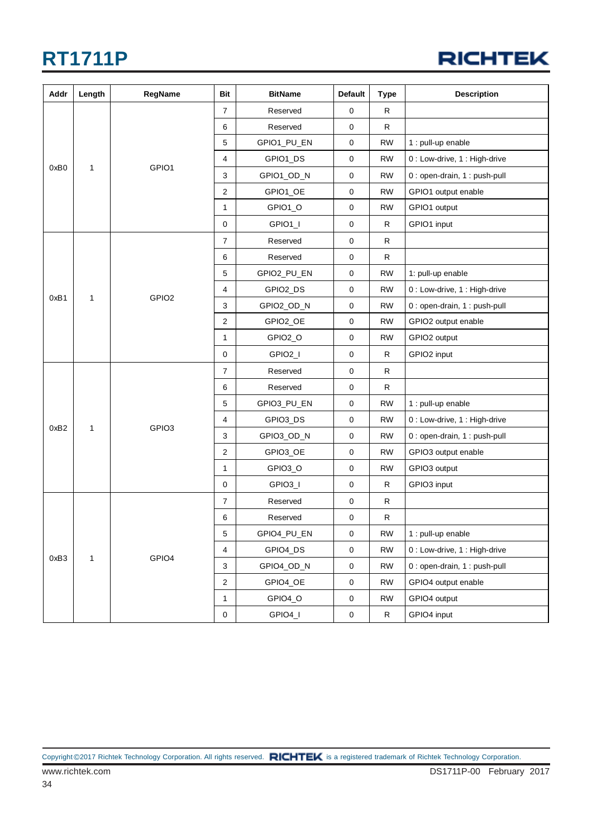

| Addr | Length       | RegName           | Bit            | <b>BitName</b> | <b>Default</b> | Type         | <b>Description</b>            |
|------|--------------|-------------------|----------------|----------------|----------------|--------------|-------------------------------|
|      |              |                   | $\overline{7}$ | Reserved       | $\mathbf 0$    | R            |                               |
|      |              |                   | 6              | Reserved       | 0              | R            |                               |
|      |              |                   | 5              | GPIO1_PU_EN    | 0              | <b>RW</b>    | 1 : pull-up enable            |
|      |              |                   | $\overline{4}$ | GPIO1_DS       | $\mathbf 0$    | <b>RW</b>    | 0 : Low-drive, 1 : High-drive |
| 0xB0 | 1            | GPIO1             | 3              | GPIO1_OD_N     | 0              | <b>RW</b>    | 0 : open-drain, 1 : push-pull |
|      |              |                   | $\overline{c}$ | GPIO1_OE       | 0              | <b>RW</b>    | GPIO1 output enable           |
|      |              |                   | $\mathbf 1$    | GPIO1_O        | 0              | <b>RW</b>    | GPIO1 output                  |
|      |              |                   | $\mathbf 0$    | GPIO1_I        | $\mathbf 0$    | R            | GPIO1 input                   |
|      |              |                   | $\overline{7}$ | Reserved       | 0              | R            |                               |
|      |              |                   | 6              | Reserved       | $\pmb{0}$      | R            |                               |
|      |              |                   | 5              | GPIO2_PU_EN    | 0              | <b>RW</b>    | 1: pull-up enable             |
|      |              |                   | 4              | GPIO2_DS       | 0              | <b>RW</b>    | 0 : Low-drive, 1 : High-drive |
| 0xB1 | 1            | GPIO <sub>2</sub> | 3              | GPIO2_OD_N     | $\pmb{0}$      | <b>RW</b>    | 0 : open-drain, 1 : push-pull |
|      |              |                   | $\overline{c}$ | GPIO2_OE       | 0              | <b>RW</b>    | GPIO2 output enable           |
|      |              |                   | $\mathbf{1}$   | GPIO2_O        | $\mathbf 0$    | <b>RW</b>    | GPIO2 output                  |
|      |              |                   | $\mathbf 0$    | GPIO2_I        | 0              | R            | GPIO2 input                   |
|      |              |                   | $\overline{7}$ | Reserved       | 0              | R            |                               |
|      |              | GPIO <sub>3</sub> | 6              | Reserved       | 0              | R            |                               |
|      |              |                   | 5              | GPIO3_PU_EN    | 0              | <b>RW</b>    | 1 : pull-up enable            |
|      |              |                   | 4              | GPIO3_DS       | $\mathbf 0$    | <b>RW</b>    | 0 : Low-drive, 1 : High-drive |
| 0xB2 | $\mathbf{1}$ |                   | 3              | GPIO3_OD_N     | 0              | <b>RW</b>    | 0 : open-drain, 1 : push-pull |
|      |              |                   | $\overline{c}$ | GPIO3_OE       | 0              | <b>RW</b>    | GPIO3 output enable           |
|      |              |                   | $\mathbf{1}$   | GPIO3_O        | 0              | <b>RW</b>    | GPIO3 output                  |
|      |              |                   | $\mathbf 0$    | GPIO3_I        | 0              | R            | GPIO3 input                   |
|      |              |                   | 7              | Reserved       | 0              | R            |                               |
|      |              |                   | 6              | Reserved       | $\pmb{0}$      | R            |                               |
|      |              |                   | 5              | GPIO4_PU_EN    | $\pmb{0}$      | <b>RW</b>    | 1 : pull-up enable            |
|      |              |                   | $\overline{4}$ | GPIO4_DS       | $\pmb{0}$      | <b>RW</b>    | 0 : Low-drive, 1 : High-drive |
| 0xB3 | $\mathbf{1}$ | GPIO4             | 3              | GPIO4_OD_N     | $\mathbf 0$    | <b>RW</b>    | 0 : open-drain, 1 : push-pull |
|      |              |                   | $\overline{c}$ | GPIO4_OE       | $\pmb{0}$      | <b>RW</b>    | GPIO4 output enable           |
|      |              |                   | $\mathbf{1}$   | GPIO4_O        | $\mathsf 0$    | <b>RW</b>    | GPIO4 output                  |
|      |              |                   | $\mathbf 0$    | GPIO4_I        | $\mathsf 0$    | $\mathsf{R}$ | GPIO4 input                   |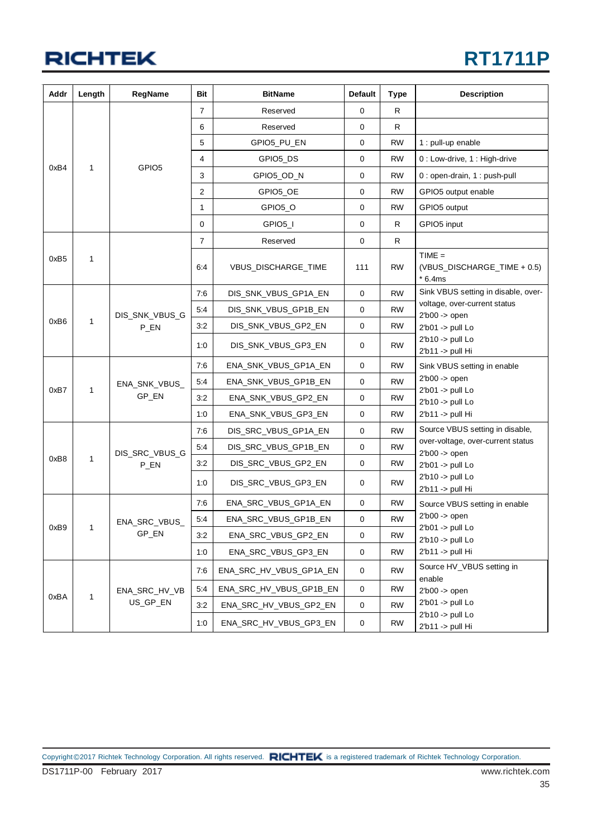| Addr             | Length       | <b>RegName</b>         | Bit            | <b>BitName</b>          | <b>Default</b> | <b>Type</b> | <b>Description</b>                                  |
|------------------|--------------|------------------------|----------------|-------------------------|----------------|-------------|-----------------------------------------------------|
|                  |              | $\overline{7}$         | Reserved       | 0                       | R              |             |                                                     |
|                  |              |                        | 6              | Reserved                | 0              | R           |                                                     |
|                  |              |                        | 5              | GPIO5_PU_EN             | 0              | <b>RW</b>   | 1 : pull-up enable                                  |
|                  |              |                        | 4              | GPIO5_DS                | 0              | <b>RW</b>   | 0 : Low-drive, 1 : High-drive                       |
| 0xB4             | 1            | GPIO <sub>5</sub>      | 3              | GPIO5_OD_N              | 0              | RW          | 0 : open-drain, 1 : push-pull                       |
|                  |              |                        | 2              | GPIO5_OE                | 0              | <b>RW</b>   | GPIO5 output enable                                 |
|                  |              |                        | 1              | GPIO5_O                 | 0              | <b>RW</b>   | GPIO5 output                                        |
|                  |              |                        | 0              | GPIO5 I                 | 0              | R.          | GPIO5 input                                         |
|                  |              |                        | $\overline{7}$ | Reserved                | 0              | R           |                                                     |
| 0xB <sub>5</sub> | 1            |                        | 6:4            | VBUS_DISCHARGE_TIME     | 111            | <b>RW</b>   | $TIME =$<br>(VBUS_DISCHARGE_TIME + 0.5)<br>$*6.4ms$ |
|                  |              |                        | 7:6            | DIS_SNK_VBUS_GP1A_EN    | 0              | <b>RW</b>   | Sink VBUS setting in disable, over-                 |
|                  |              | DIS_SNK_VBUS_G         | 5:4            | DIS_SNK_VBUS_GP1B_EN    | 0              | <b>RW</b>   | voltage, over-current status<br>$2b00$ -> open      |
| 0xB6             | $\mathbf{1}$ | P_EN                   | 3:2            | DIS_SNK_VBUS_GP2_EN     | 0              | RW          | $2'b01 - pull$ Lo                                   |
|                  |              |                        | 1:0            | DIS_SNK_VBUS_GP3_EN     | 0              | RW          | $2'b10 \rightarrow$ pull Lo<br>2'b11 -> pull Hi     |
|                  |              | ENA_SNK_VBUS_<br>GP_EN | 7:6            | ENA_SNK_VBUS_GP1A_EN    | 0              | <b>RW</b>   | Sink VBUS setting in enable                         |
| 0xB7             | $\mathbf{1}$ |                        | 5:4            | ENA_SNK_VBUS_GP1B_EN    | $\mathbf 0$    | <b>RW</b>   | $2b00$ -> open<br>$2'b01$ -> pull Lo                |
|                  |              |                        | 3:2            | ENA_SNK_VBUS_GP2_EN     | 0              | <b>RW</b>   | $2'b10 - pull$ Lo                                   |
|                  |              |                        | 1:0            | ENA_SNK_VBUS_GP3_EN     | 0              | RW          | 2'b11 -> pull Hi                                    |
|                  |              |                        | 7:6            | DIS_SRC_VBUS_GP1A_EN    | 0              | RW          | Source VBUS setting in disable,                     |
|                  |              | DIS_SRC_VBUS_G         | 5:4            | DIS_SRC_VBUS_GP1B_EN    | 0              | <b>RW</b>   | over-voltage, over-current status<br>$2b00$ -> open |
| 0xB8             | $\mathbf{1}$ | P_EN                   | 3:2            | DIS_SRC_VBUS_GP2_EN     | 0              | RW          | $2'b01$ -> pull Lo                                  |
|                  |              |                        | 1:0            | DIS_SRC_VBUS_GP3_EN     | 0              | RW          | $2'b10 \rightarrow$ pull Lo<br>2'b11 -> pull Hi     |
|                  |              |                        | 7:6            | ENA_SRC_VBUS_GP1A_EN    | 0              | RW          | Source VBUS setting in enable                       |
| 0xB9             | 1            | ENA_SRC_VBUS_          | 5:4            | ENA_SRC_VBUS_GP1B_EN    | 0              | <b>RW</b>   | $2b00$ -> open<br>$2^{\prime}$ b01 -> pull Lo       |
|                  |              | GP_EN                  | 3:2            | ENA_SRC_VBUS_GP2_EN     | 0              | <b>RW</b>   | $2'b10 \rightarrow$ pull Lo                         |
|                  |              |                        | 1:0            | ENA_SRC_VBUS_GP3_EN     | 0              | <b>RW</b>   | 2'b11 -> pull Hi                                    |
|                  |              |                        | 7:6            | ENA_SRC_HV_VBUS_GP1A_EN | 0              | <b>RW</b>   | Source HV_VBUS setting in<br>enable                 |
| 0xBA             | $\mathbf{1}$ | ENA_SRC_HV_VB          | 5:4            | ENA_SRC_HV_VBUS_GP1B_EN | $\mathbf 0$    | <b>RW</b>   | $2'b00 \rightarrow open$                            |
|                  |              | US_GP_EN               | 3:2            | ENA_SRC_HV_VBUS_GP2_EN  | 0              | <b>RW</b>   | $2'b01 - pull$ Lo<br>2'b10 -> pull Lo               |
|                  |              |                        | 1:0            | ENA_SRC_HV_VBUS_GP3_EN  | $\mathbf 0$    | <b>RW</b>   | 2'b11 -> pull Hi                                    |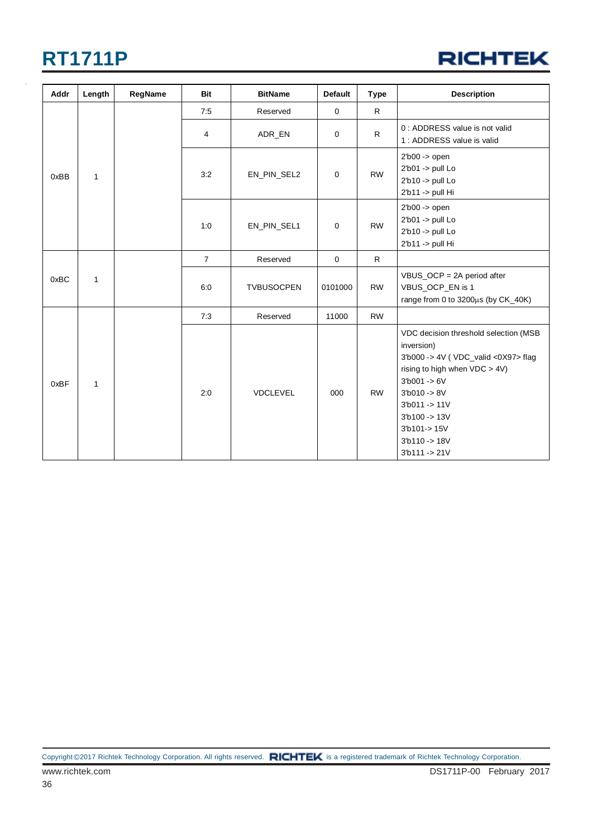#### **RICHTEK**

| Addr | Length       | RegName | <b>Bit</b>     | <b>BitName</b>    | <b>Default</b> | <b>Type</b>  | <b>Description</b>                                                                                                                                                                                                                                                                   |
|------|--------------|---------|----------------|-------------------|----------------|--------------|--------------------------------------------------------------------------------------------------------------------------------------------------------------------------------------------------------------------------------------------------------------------------------------|
|      |              |         | 7:5            | Reserved          | $\mathbf 0$    | $\mathsf{R}$ |                                                                                                                                                                                                                                                                                      |
| 0xBB | $\mathbf{1}$ |         | 4              | ADR_EN            | $\mathbf 0$    | $\mathsf{R}$ | 0 : ADDRESS value is not valid<br>1 : ADDRESS value is valid                                                                                                                                                                                                                         |
|      |              |         | 3:2            | EN_PIN_SEL2       | $\mathbf 0$    | <b>RW</b>    | $2b00$ -> open<br>$2'b01 - pull$ Lo<br>2'b10 -> pull Lo<br>2'b11 -> pull Hi                                                                                                                                                                                                          |
|      |              |         | 1:0            | EN_PIN_SEL1       | 0              | <b>RW</b>    | $2b00$ -> open<br>2'b01 -> pull Lo<br>2'b10 -> pull Lo<br>2'b11 -> pull Hi                                                                                                                                                                                                           |
| 0xBC | $\mathbf{1}$ |         | $\overline{7}$ | Reserved          | $\mathbf 0$    | $\mathsf{R}$ |                                                                                                                                                                                                                                                                                      |
|      |              |         | 6:0            | <b>TVBUSOCPEN</b> | 0101000        | <b>RW</b>    | VBUS_OCP = 2A period after<br>VBUS_OCP_EN is 1<br>range from 0 to 3200µs (by CK_40K)                                                                                                                                                                                                 |
|      |              |         | 7:3            | Reserved          | 11000          | <b>RW</b>    |                                                                                                                                                                                                                                                                                      |
| 0xBF | $\mathbf{1}$ |         | 2:0            | <b>VDCLEVEL</b>   | 000            | <b>RW</b>    | VDC decision threshold selection (MSB<br>inversion)<br>3'b000 -> 4V ( VDC_valid <0X97> flag<br>rising to high when VDC > 4V)<br>$3'$ b001 -> 6V<br>$31b010 - > 8V$<br>$3b011 - > 11V$<br>$3b100 - > 13V$<br>$3^{\prime}b101 - > 15V$<br>$3^{\prime}b110 - > 18V$<br>$3'b111 - > 21V$ |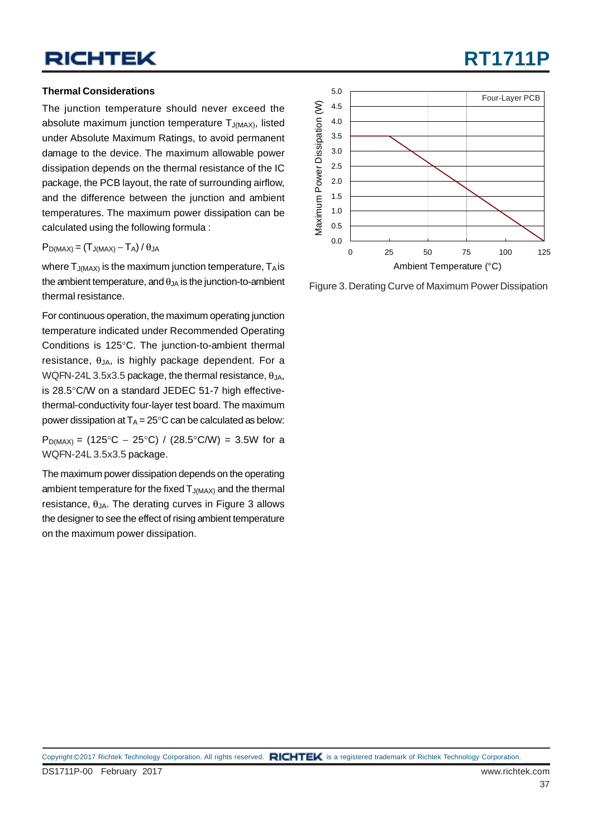#### **Thermal Considerations**

The junction temperature should never exceed the absolute maximum junction temperature  $T_{J(MAX)}$ , listed under Absolute Maximum Ratings, to avoid permanent damage to the device. The maximum allowable power dissipation depends on the thermal resistance of the IC package, the PCB layout, the rate of surrounding airflow, and the difference between the junction and ambient temperatures. The maximum power dissipation can be calculated using the following formula :

 $P_{D(MAX)} = (T_{J(MAX)} - T_A)/\theta_{JA}$ 

where  $T_{J(MAX)}$  is the maximum junction temperature,  $T_A$  is the ambient temperature, and  $\theta_{JA}$  is the junction-to-ambient thermal resistance.

For continuous operation, the maximum operating junction temperature indicated under Recommended Operating Conditions is 125°C. The junction-to-ambient thermal resistance,  $\theta_{JA}$ , is highly package dependent. For a WQFN-24L 3.5x3.5 package, the thermal resistance,  $\theta_{JA}$ , is 28.5°C/W on a standard JEDEC 51-7 high effectivethermal-conductivity four-layer test board. The maximum power dissipation at  $T_A = 25^{\circ}C$  can be calculated as below:

 $P<sub>D(MAX)</sub> = (125°C – 25°C) / (28.5°C/W) = 3.5W$  for a WQFN-24L 3.5x3.5 package.

The maximum power dissipation depends on the operating ambient temperature for the fixed  $T_{J(MAX)}$  and the thermal resistance,  $θ_{JA}$ . The derating curves in Figure 3 allows the designer to see the effect of rising ambient temperature on the maximum power dissipation.



Figure 3. Derating Curve of Maximum Power Dissipation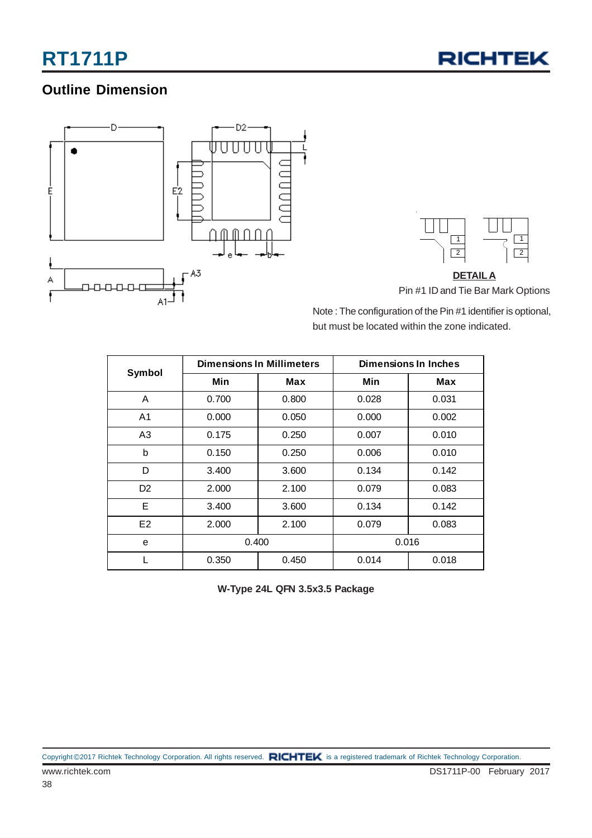

#### **Outline Dimension**



**DETAILA** Pin #1 ID and Tie Bar Mark Options

Note : The configuration of the Pin #1 identifier is optional, but must be located within the zone indicated.

| <b>Symbol</b>  |       | <b>Dimensions In Millimeters</b> | Dimensions In Inches |       |  |  |  |
|----------------|-------|----------------------------------|----------------------|-------|--|--|--|
|                | Min   | Max                              | Min                  | Max   |  |  |  |
| A              | 0.700 | 0.800                            | 0.028                | 0.031 |  |  |  |
| A <sub>1</sub> | 0.000 | 0.050                            | 0.000                | 0.002 |  |  |  |
| A <sub>3</sub> | 0.175 | 0.250                            | 0.007                | 0.010 |  |  |  |
| b              | 0.150 | 0.250                            | 0.006                | 0.010 |  |  |  |
| D              | 3.400 | 3.600                            | 0.134                | 0.142 |  |  |  |
| D <sub>2</sub> | 2.000 | 2.100                            | 0.079                | 0.083 |  |  |  |
| E              | 3.400 | 3.600                            | 0.134                | 0.142 |  |  |  |
| E <sub>2</sub> | 2.000 | 2.100                            | 0.079                | 0.083 |  |  |  |
| e              | 0.400 |                                  | 0.016                |       |  |  |  |
|                | 0.350 | 0.450                            | 0.014                | 0.018 |  |  |  |

**W-Type 24L QFN 3.5x3.5 Package**